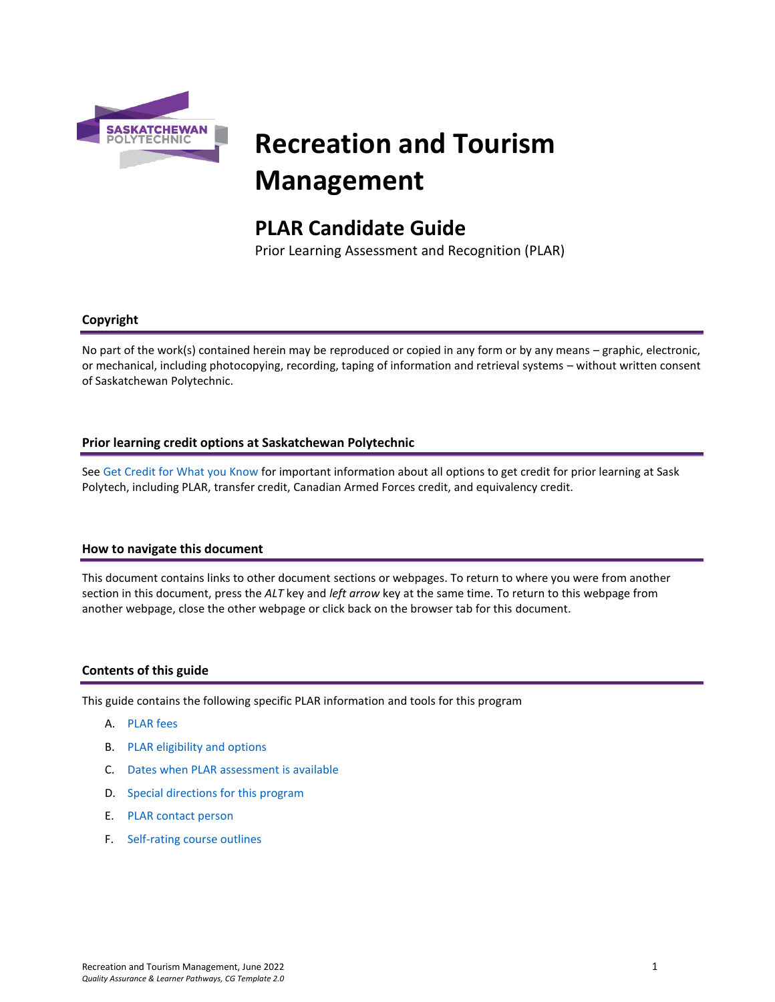

# **Recreation and Tourism Management**

# **PLAR Candidate Guide**

Prior Learning Assessment and Recognition (PLAR)

# **Copyright**

No part of the work(s) contained herein may be reproduced or copied in any form or by any means – graphic, electronic, or mechanical, including photocopying, recording, taping of information and retrieval systems – without written consent of Saskatchewan Polytechnic.

#### **Prior learning credit options at Saskatchewan Polytechnic**

Se[e Get Credit for What you Know](https://saskpolytech.ca/admissions/get-credit/) for important information about all options to get credit for prior learning at Sask Polytech, including PLAR, transfer credit, Canadian Armed Forces credit, and equivalency credit.

#### **How to navigate this document**

This document contains links to other document sections or webpages. To return to where you were from another section in this document, press the *ALT* key and *left arrow* key at the same time. To return to this webpage from another webpage, close the other webpage or click back on the browser tab for this document.

#### **Contents of this guide**

This guide contains the following specific PLAR information and tools for this program

- A. [PLAR fees](#page-1-0)
- B. [PLAR eligibility and options](#page-1-1)
- C. [Dates when PLAR assessment is available](#page-1-2)
- D. [Special directions for this](#page-1-3) program
- E. PLAR [contact person](#page-2-0)
- F. [Self-rating course outlines](#page-2-1)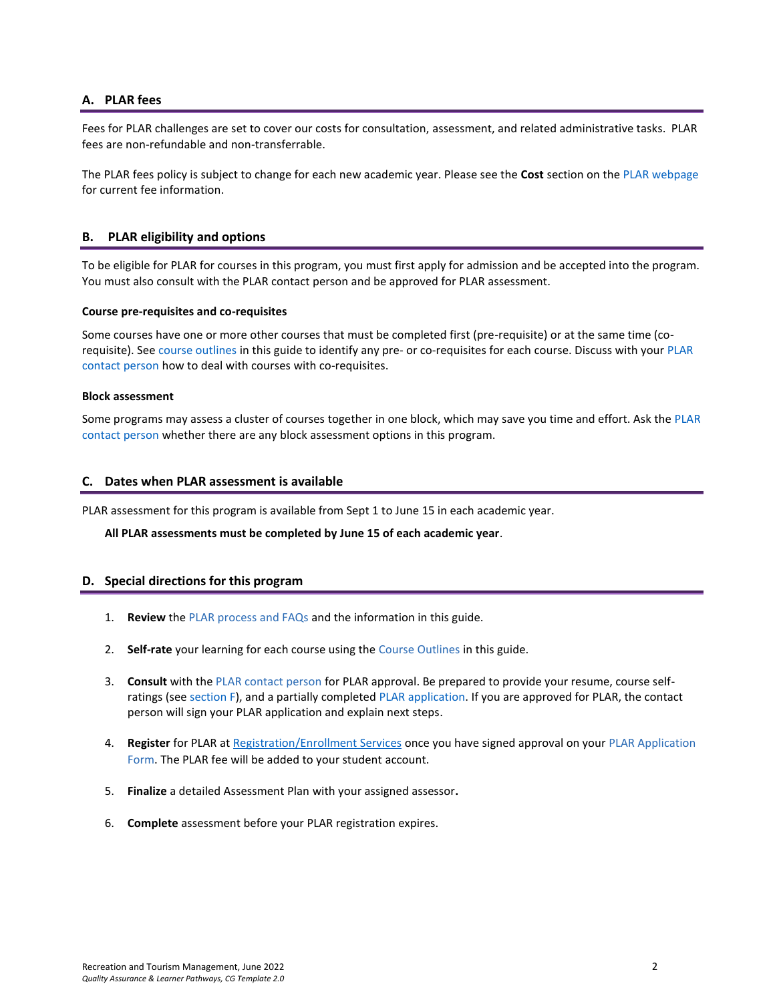#### <span id="page-1-0"></span>**A. PLAR fees**

Fees for PLAR challenges are set to cover our costs for consultation, assessment, and related administrative tasks. PLAR fees are non-refundable and non-transferrable.

<span id="page-1-1"></span>The PLAR fees policy is subject to change for each new academic year. Please see the **Cost** section on th[e PLAR webpage](https://saskpolytech.ca/admissions/get-credit/plar.aspx) for current fee information.

#### **B. PLAR eligibility and options**

To be eligible for PLAR for courses in this program, you must first apply for admission and be accepted into the program. You must also consult with the PLAR contact person and be approved for PLAR assessment.

#### **Course pre-requisites and co-requisites**

Some courses have one or more other courses that must be completed first (pre-requisite) or at the same time (corequisite). See course outlines in this guide to identify any pre- or co-requisites for each course. Discuss with your [PLAR](#page-2-0)  [contact person](#page-2-0) how to deal with courses with co-requisites.

#### **Block assessment**

<span id="page-1-2"></span>Some programs may assess a cluster of courses together in one block, which may save you time and effort. Ask the [PLAR](#page-2-0)  [contact person](#page-2-0) whether there are any block assessment options in this program.

#### **C. Dates when PLAR assessment is available**

PLAR assessment for this program is available from Sept 1 to June 15 in each academic year.

<span id="page-1-3"></span>**All PLAR assessments must be completed by June 15 of each academic year**.

#### **D. Special directions for this program**

- 1. **Review** the [PLAR process and FAQs](https://saskpolytech.ca/admissions/get-credit/plar.aspx) and the information in this guide.
- 2. **Self-rate** your learning for each course using the Course Outlines in this guide.
- 3. **Consult** with th[e PLAR contact person](#page-2-0) for PLAR approval. Be prepared to provide your resume, course selfratings (see section F), and a partially completed [PLAR application.](https://saskpolytech.ca/admissions/resources/documents/plar-application-form.pdf) If you are approved for PLAR, the contact person will sign your PLAR application and explain next steps.
- 4. **Register** for PLAR at [Registration/Enrollment Services](https://saskpolytech.ca/admissions/resources/contact-us.aspx) once you have signed approval on your [PLAR Application](http://saskpolytech.ca/admissions/resources/documents/plar-application-form.pdf)  [Form.](http://saskpolytech.ca/admissions/resources/documents/plar-application-form.pdf) The PLAR fee will be added to your student account.
- 5. **Finalize** a detailed Assessment Plan with your assigned assessor**.**
- 6. **Complete** assessment before your PLAR registration expires.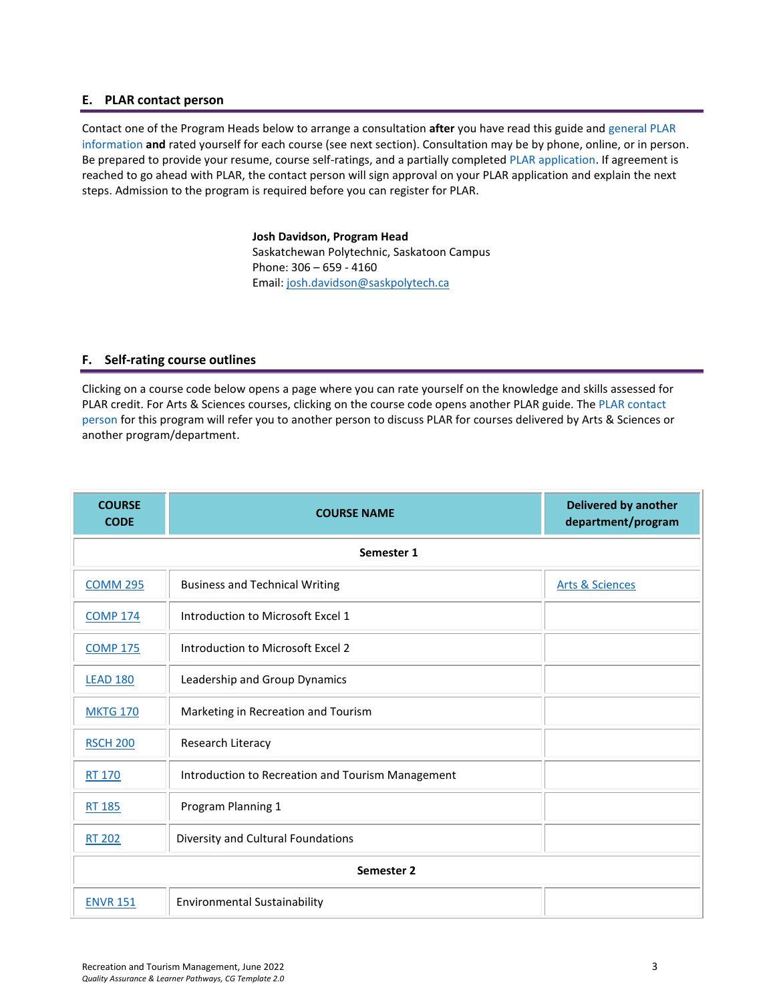#### <span id="page-2-0"></span>**E. PLAR contact person**

Contact one of the Program Heads below to arrange a consultation **after** you have read this guide and [general PLAR](http://saskpolytech.ca/admissions/resources/prior-learning-process.aspx)  [information](http://saskpolytech.ca/admissions/resources/prior-learning-process.aspx) **and** rated yourself for each course (see next section). Consultation may be by phone, online, or in person. Be prepared to provide your resume, course self-ratings, and a partially complete[d PLAR application.](https://saskpolytech.ca/admissions/resources/documents/plar-application-form.pdf#search=PLAR%20application) If agreement is reached to go ahead with PLAR, the contact person will sign approval on your PLAR application and explain the next steps. Admission to the program is required before you can register for PLAR.

> **Josh Davidson, Program Head** Saskatchewan Polytechnic, Saskatoon Campus Phone: 306 – 659 - 4160 Email[: josh.davidson@saskpolytech.ca](mailto:josh.davidson@saskpolytech.ca)

#### <span id="page-2-1"></span>**F. Self-rating course outlines**

Clicking on a course code below opens a page where you can rate yourself on the knowledge and skills assessed for PLAR credit. For Arts & Sciences courses, clicking on the course code opens another PLAR guide. The [PLAR contact](#page-2-0)  [person](#page-2-0) for this program will refer you to another person to discuss PLAR for courses delivered by Arts & Sciences or another program/department.

| <b>COURSE</b><br><b>CODE</b> | <b>COURSE NAME</b>                                | <b>Delivered by another</b><br>department/program |  |  |  |  |
|------------------------------|---------------------------------------------------|---------------------------------------------------|--|--|--|--|
|                              | Semester 1                                        |                                                   |  |  |  |  |
| <b>COMM 295</b>              | <b>Business and Technical Writing</b>             | <b>Arts &amp; Sciences</b>                        |  |  |  |  |
| <b>COMP 174</b>              | Introduction to Microsoft Excel 1                 |                                                   |  |  |  |  |
| <b>COMP 175</b>              | Introduction to Microsoft Excel 2                 |                                                   |  |  |  |  |
| <b>LEAD 180</b>              | Leadership and Group Dynamics                     |                                                   |  |  |  |  |
| <b>MKTG 170</b>              | Marketing in Recreation and Tourism               |                                                   |  |  |  |  |
| <b>RSCH 200</b>              | Research Literacy                                 |                                                   |  |  |  |  |
| <b>RT 170</b>                | Introduction to Recreation and Tourism Management |                                                   |  |  |  |  |
| RT 185                       | Program Planning 1                                |                                                   |  |  |  |  |
| <b>RT 202</b>                | Diversity and Cultural Foundations                |                                                   |  |  |  |  |
|                              | Semester 2                                        |                                                   |  |  |  |  |
| <b>ENVR 151</b>              | <b>Environmental Sustainability</b>               |                                                   |  |  |  |  |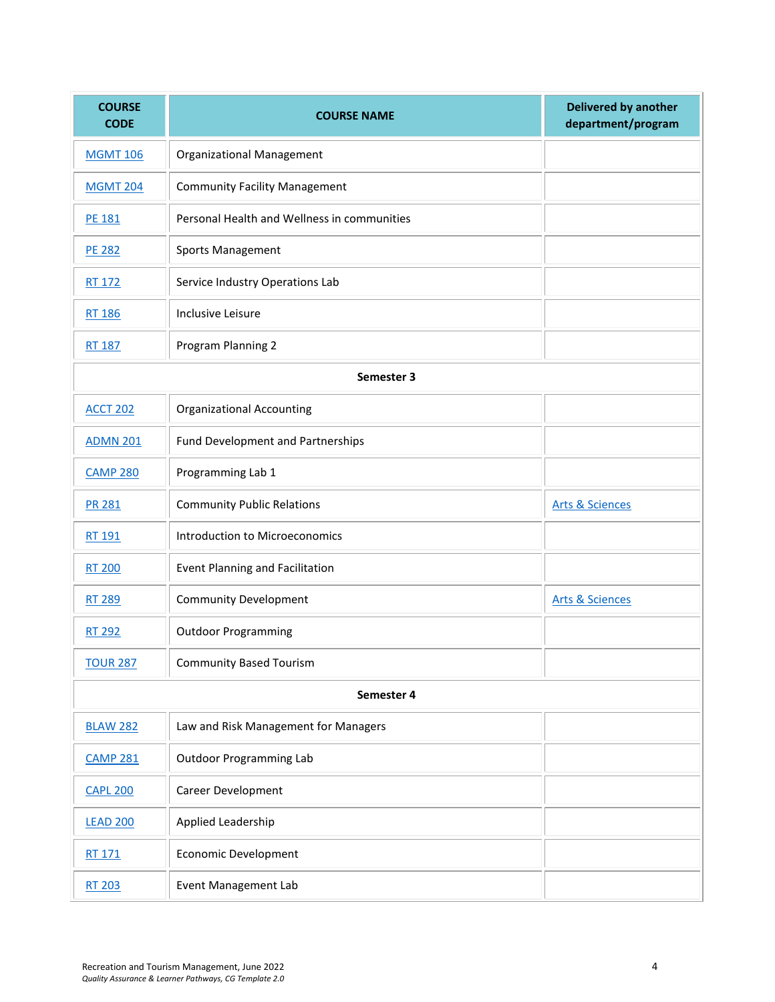| <b>COURSE</b><br><b>CODE</b> | <b>COURSE NAME</b>                          | <b>Delivered by another</b><br>department/program |
|------------------------------|---------------------------------------------|---------------------------------------------------|
| <b>MGMT 106</b>              | <b>Organizational Management</b>            |                                                   |
| <b>MGMT 204</b>              | <b>Community Facility Management</b>        |                                                   |
| <b>PE 181</b>                | Personal Health and Wellness in communities |                                                   |
| <b>PE 282</b>                | Sports Management                           |                                                   |
| RT 172                       | Service Industry Operations Lab             |                                                   |
| RT 186                       | Inclusive Leisure                           |                                                   |
| <b>RT 187</b>                | Program Planning 2                          |                                                   |
|                              | Semester 3                                  |                                                   |
| <b>ACCT 202</b>              | <b>Organizational Accounting</b>            |                                                   |
| <b>ADMN 201</b>              | Fund Development and Partnerships           |                                                   |
| <b>CAMP 280</b>              | Programming Lab 1                           |                                                   |
| <b>PR 281</b>                | <b>Community Public Relations</b>           | <b>Arts &amp; Sciences</b>                        |
| RT 191                       | <b>Introduction to Microeconomics</b>       |                                                   |
| <b>RT 200</b>                | Event Planning and Facilitation             |                                                   |
| <b>RT 289</b>                | <b>Community Development</b>                | <b>Arts &amp; Sciences</b>                        |
| RT 292                       | <b>Outdoor Programming</b>                  |                                                   |
| <b>TOUR 287</b>              | <b>Community Based Tourism</b>              |                                                   |
|                              | Semester 4                                  |                                                   |
| <b>BLAW 282</b>              | Law and Risk Management for Managers        |                                                   |
| <b>CAMP 281</b>              | <b>Outdoor Programming Lab</b>              |                                                   |
| <b>CAPL 200</b>              | Career Development                          |                                                   |
| <b>LEAD 200</b>              | Applied Leadership                          |                                                   |
| RT 171                       | <b>Economic Development</b>                 |                                                   |
| RT 203                       | Event Management Lab                        |                                                   |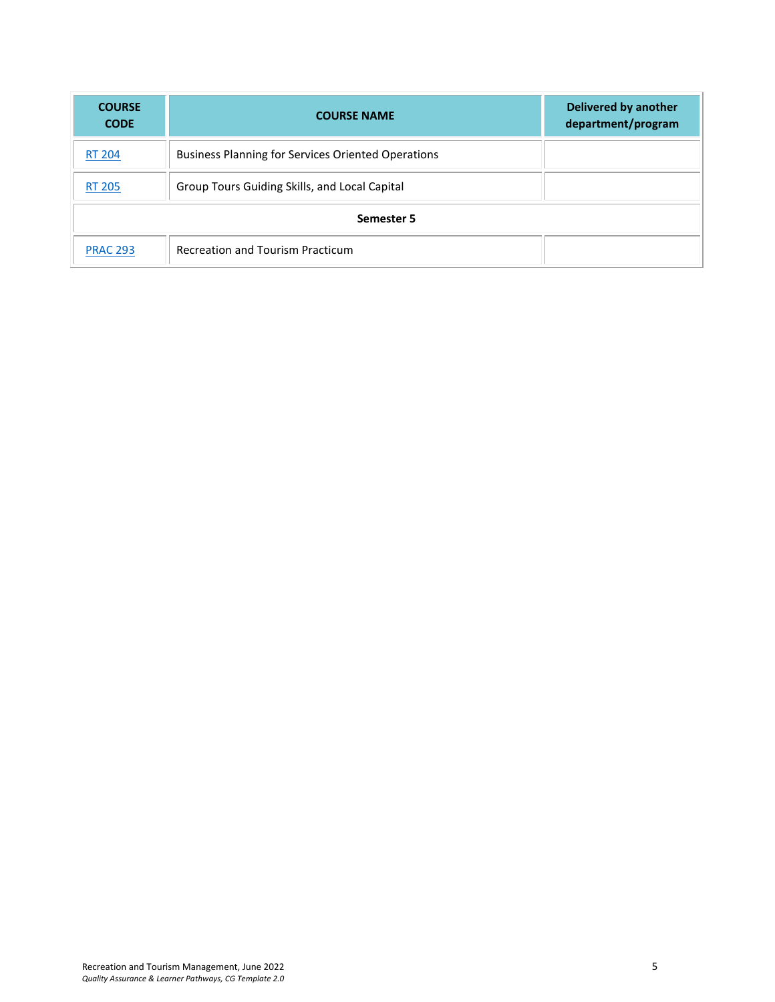| <b>COURSE</b><br><b>CODE</b> | <b>COURSE NAME</b>                                        | <b>Delivered by another</b><br>department/program |
|------------------------------|-----------------------------------------------------------|---------------------------------------------------|
| <b>RT 204</b>                | <b>Business Planning for Services Oriented Operations</b> |                                                   |
| <b>RT 205</b>                | Group Tours Guiding Skills, and Local Capital             |                                                   |
|                              | Semester 5                                                |                                                   |
| <b>PRAC 293</b>              | <b>Recreation and Tourism Practicum</b>                   |                                                   |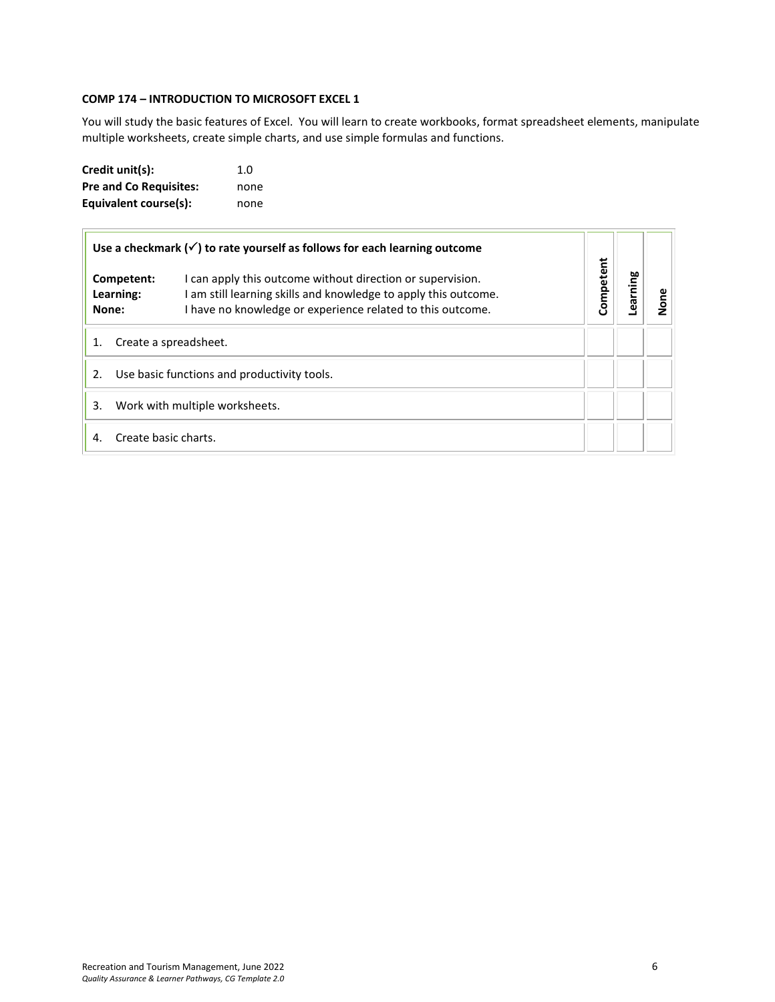## <span id="page-5-0"></span>**COMP 174 – INTRODUCTION TO MICROSOFT EXCEL 1**

You will study the basic features of Excel. You will learn to create workbooks, format spreadsheet elements, manipulate multiple worksheets, create simple charts, and use simple formulas and functions.

| Credit unit(s):               | 1. $\Omega$ |
|-------------------------------|-------------|
| <b>Pre and Co Requisites:</b> | none        |
| Equivalent course(s):         | none        |

| Use a checkmark $(\checkmark)$ to rate yourself as follows for each learning outcome |                                  |                                                                                                                                                                                             |           |         |      |
|--------------------------------------------------------------------------------------|----------------------------------|---------------------------------------------------------------------------------------------------------------------------------------------------------------------------------------------|-----------|---------|------|
|                                                                                      | Competent:<br>Learning:<br>None: | I can apply this outcome without direction or supervision.<br>I am still learning skills and knowledge to apply this outcome.<br>I have no knowledge or experience related to this outcome. | Competent | earning | None |
| 1.                                                                                   | Create a spreadsheet.            |                                                                                                                                                                                             |           |         |      |
| 2.                                                                                   |                                  | Use basic functions and productivity tools.                                                                                                                                                 |           |         |      |
| 3.                                                                                   |                                  | Work with multiple worksheets.                                                                                                                                                              |           |         |      |
| $\mathbf{A}$                                                                         | Create basic charts.             |                                                                                                                                                                                             |           |         |      |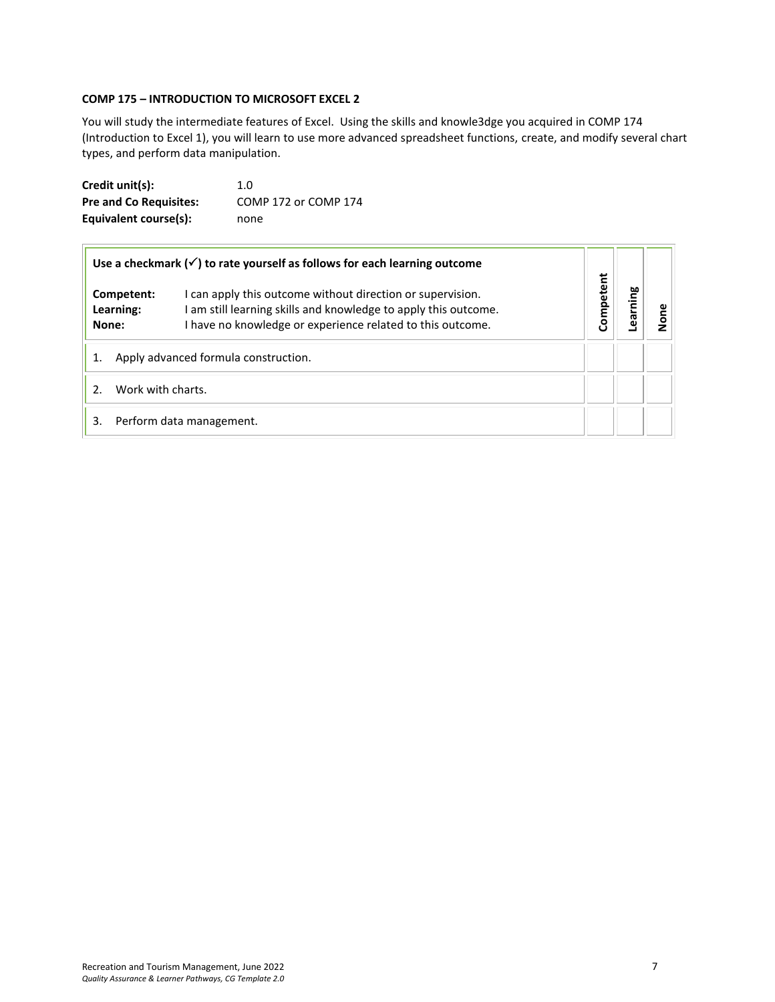#### <span id="page-6-0"></span>**COMP 175 – INTRODUCTION TO MICROSOFT EXCEL 2**

You will study the intermediate features of Excel. Using the skills and knowle3dge you acquired in COMP 174 (Introduction to Excel 1), you will learn to use more advanced spreadsheet functions, create, and modify several chart types, and perform data manipulation.

| Credit unit(s):               | 1.0                  |
|-------------------------------|----------------------|
| <b>Pre and Co Requisites:</b> | COMP 172 or COMP 174 |
| Equivalent course(s):         | none                 |

| Use a checkmark $(\checkmark)$ to rate yourself as follows for each learning outcome |                                  |                                                                                                                                                                                             |           |        |  |
|--------------------------------------------------------------------------------------|----------------------------------|---------------------------------------------------------------------------------------------------------------------------------------------------------------------------------------------|-----------|--------|--|
|                                                                                      | Competent:<br>Learning:<br>None: | I can apply this outcome without direction or supervision.<br>I am still learning skills and knowledge to apply this outcome.<br>I have no knowledge or experience related to this outcome. | Competent | arning |  |
| Apply advanced formula construction.                                                 |                                  |                                                                                                                                                                                             |           |        |  |
| Work with charts.                                                                    |                                  |                                                                                                                                                                                             |           |        |  |
| 3.                                                                                   |                                  | Perform data management.                                                                                                                                                                    |           |        |  |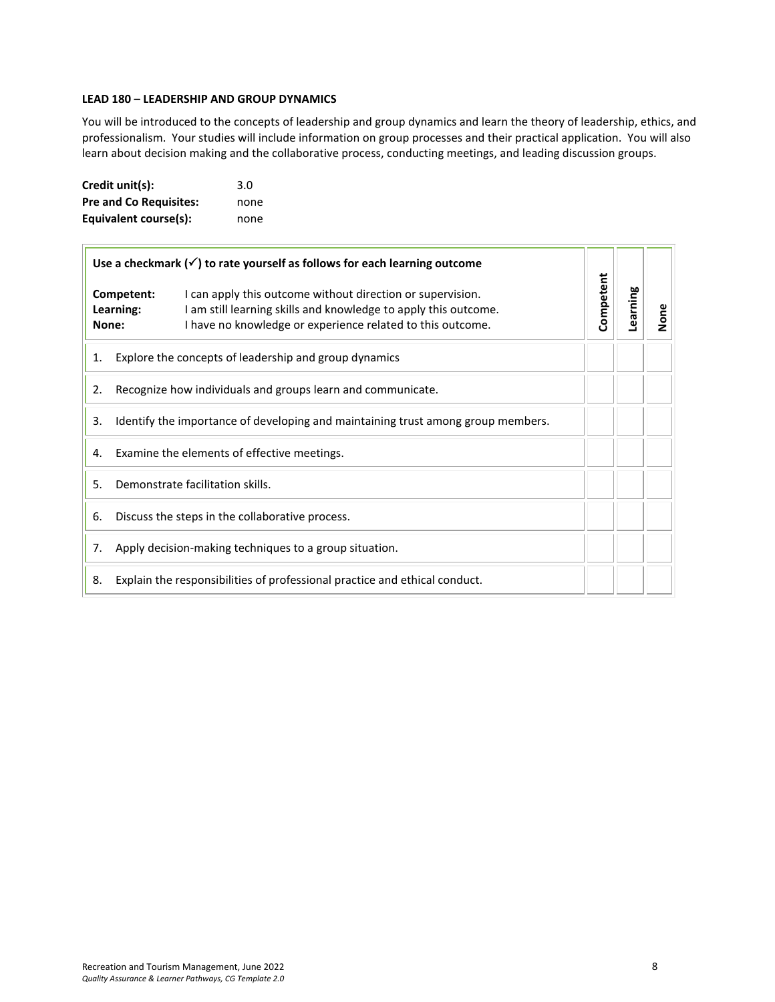#### <span id="page-7-0"></span>**LEAD 180 – LEADERSHIP AND GROUP DYNAMICS**

You will be introduced to the concepts of leadership and group dynamics and learn the theory of leadership, ethics, and professionalism. Your studies will include information on group processes and their practical application. You will also learn about decision making and the collaborative process, conducting meetings, and leading discussion groups.

| Credit unit(s):               | 3.0  |
|-------------------------------|------|
| <b>Pre and Co Requisites:</b> | none |
| Equivalent course(s):         | none |

| Use a checkmark $(\checkmark)$ to rate yourself as follows for each learning outcome |                                                                                                                                                                                                                                 |           |          |      |
|--------------------------------------------------------------------------------------|---------------------------------------------------------------------------------------------------------------------------------------------------------------------------------------------------------------------------------|-----------|----------|------|
|                                                                                      | Competent:<br>I can apply this outcome without direction or supervision.<br>I am still learning skills and knowledge to apply this outcome.<br>Learning:<br>I have no knowledge or experience related to this outcome.<br>None: | Competent | Learning | None |
| 1.                                                                                   | Explore the concepts of leadership and group dynamics                                                                                                                                                                           |           |          |      |
| 2.                                                                                   | Recognize how individuals and groups learn and communicate.                                                                                                                                                                     |           |          |      |
| 3.                                                                                   | Identify the importance of developing and maintaining trust among group members.                                                                                                                                                |           |          |      |
| 4.                                                                                   | Examine the elements of effective meetings.                                                                                                                                                                                     |           |          |      |
| 5.                                                                                   | Demonstrate facilitation skills.                                                                                                                                                                                                |           |          |      |
| 6.                                                                                   | Discuss the steps in the collaborative process.                                                                                                                                                                                 |           |          |      |
| 7.                                                                                   | Apply decision-making techniques to a group situation.                                                                                                                                                                          |           |          |      |
| 8.                                                                                   | Explain the responsibilities of professional practice and ethical conduct.                                                                                                                                                      |           |          |      |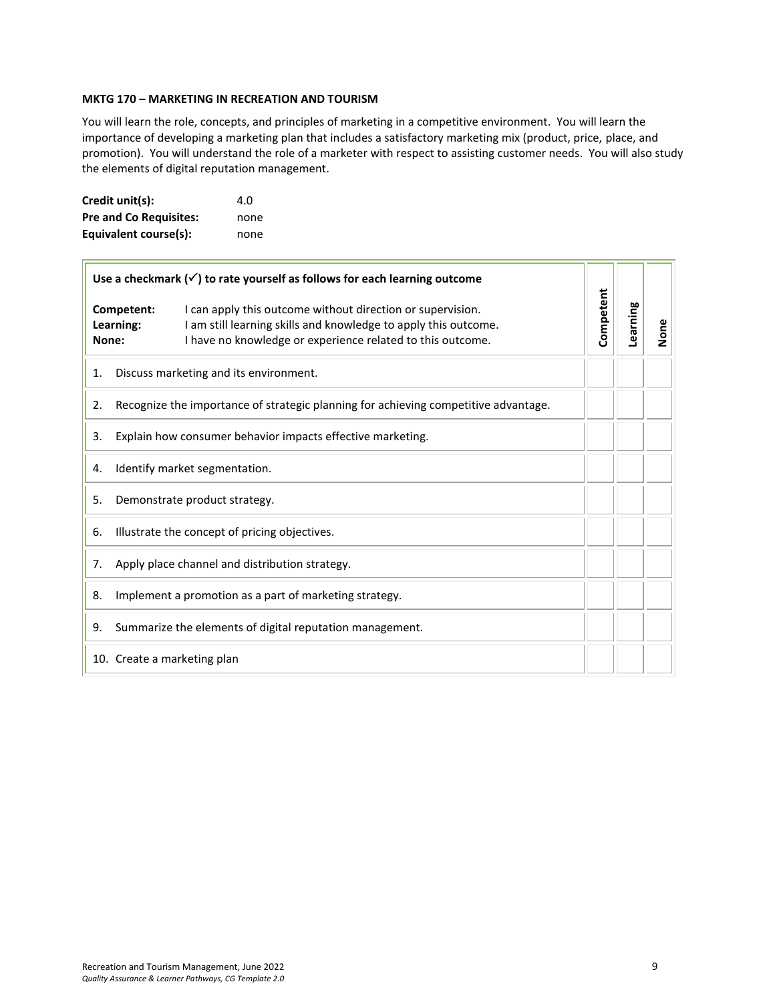#### <span id="page-8-0"></span>**MKTG 170 – MARKETING IN RECREATION AND TOURISM**

You will learn the role, concepts, and principles of marketing in a competitive environment. You will learn the importance of developing a marketing plan that includes a satisfactory marketing mix (product, price, place, and promotion). You will understand the role of a marketer with respect to assisting customer needs. You will also study the elements of digital reputation management.

| Credit unit(s):               | 4.O  |
|-------------------------------|------|
| <b>Pre and Co Requisites:</b> | none |
| Equivalent course(s):         | none |

| Use a checkmark $(\checkmark)$ to rate yourself as follows for each learning outcome |                               |                                                                                                                                                                                             |           |          |      |
|--------------------------------------------------------------------------------------|-------------------------------|---------------------------------------------------------------------------------------------------------------------------------------------------------------------------------------------|-----------|----------|------|
| Competent:<br>Learning:<br>None:                                                     |                               | I can apply this outcome without direction or supervision.<br>I am still learning skills and knowledge to apply this outcome.<br>I have no knowledge or experience related to this outcome. | Competent | Learning | None |
| 1.                                                                                   |                               | Discuss marketing and its environment.                                                                                                                                                      |           |          |      |
| 2.                                                                                   |                               | Recognize the importance of strategic planning for achieving competitive advantage.                                                                                                         |           |          |      |
| 3.                                                                                   |                               | Explain how consumer behavior impacts effective marketing.                                                                                                                                  |           |          |      |
| 4.                                                                                   |                               | Identify market segmentation.                                                                                                                                                               |           |          |      |
| 5.                                                                                   | Demonstrate product strategy. |                                                                                                                                                                                             |           |          |      |
| 6.                                                                                   |                               | Illustrate the concept of pricing objectives.                                                                                                                                               |           |          |      |
| 7.                                                                                   |                               | Apply place channel and distribution strategy.                                                                                                                                              |           |          |      |
| 8.                                                                                   |                               | Implement a promotion as a part of marketing strategy.                                                                                                                                      |           |          |      |
| 9.                                                                                   |                               | Summarize the elements of digital reputation management.                                                                                                                                    |           |          |      |
|                                                                                      | 10. Create a marketing plan   |                                                                                                                                                                                             |           |          |      |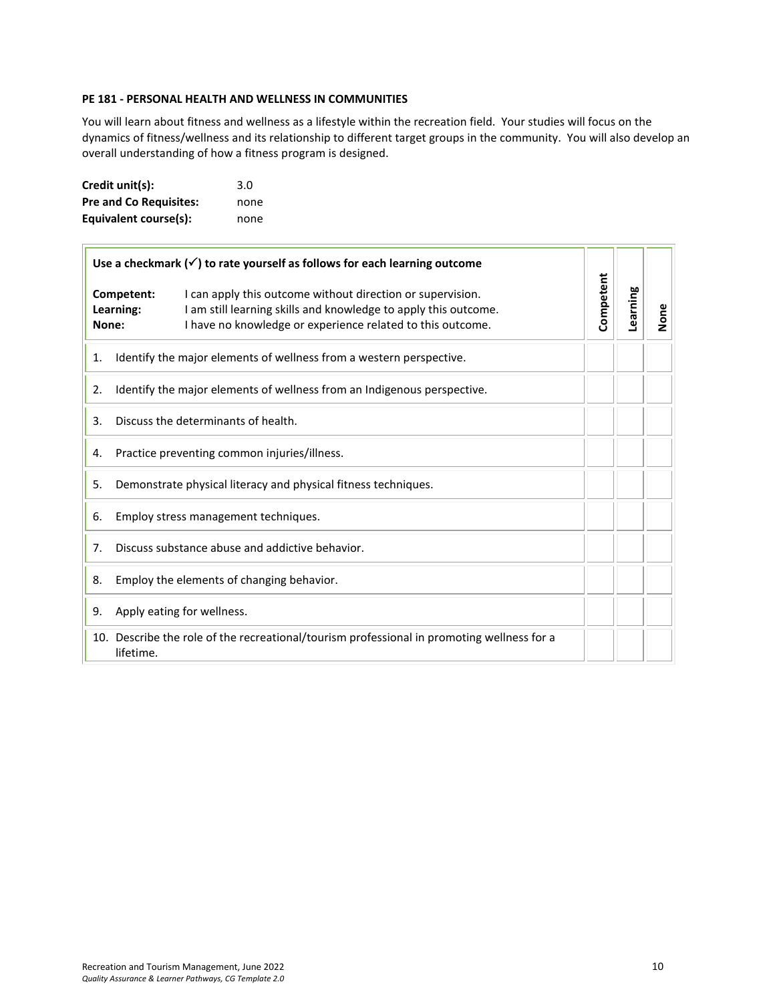#### <span id="page-9-0"></span>**PE 181 - PERSONAL HEALTH AND WELLNESS IN COMMUNITIES**

You will learn about fitness and wellness as a lifestyle within the recreation field. Your studies will focus on the dynamics of fitness/wellness and its relationship to different target groups in the community. You will also develop an overall understanding of how a fitness program is designed.

| Credit unit(s):               | 3.0  |
|-------------------------------|------|
| <b>Pre and Co Requisites:</b> | none |
| Equivalent course(s):         | none |

| Use a checkmark $(\checkmark)$ to rate yourself as follows for each learning outcome |                                                 |                                                                                                                                                                                             |           |          |      |
|--------------------------------------------------------------------------------------|-------------------------------------------------|---------------------------------------------------------------------------------------------------------------------------------------------------------------------------------------------|-----------|----------|------|
| None:                                                                                | Competent:<br>Learning:                         | I can apply this outcome without direction or supervision.<br>I am still learning skills and knowledge to apply this outcome.<br>I have no knowledge or experience related to this outcome. | Competent | Learning | None |
| 1.                                                                                   |                                                 | Identify the major elements of wellness from a western perspective.                                                                                                                         |           |          |      |
| 2.                                                                                   |                                                 | Identify the major elements of wellness from an Indigenous perspective.                                                                                                                     |           |          |      |
| 3.                                                                                   | Discuss the determinants of health.             |                                                                                                                                                                                             |           |          |      |
| Practice preventing common injuries/illness.<br>4.                                   |                                                 |                                                                                                                                                                                             |           |          |      |
| Demonstrate physical literacy and physical fitness techniques.<br>5.                 |                                                 |                                                                                                                                                                                             |           |          |      |
| 6.                                                                                   | Employ stress management techniques.            |                                                                                                                                                                                             |           |          |      |
| 7.                                                                                   | Discuss substance abuse and addictive behavior. |                                                                                                                                                                                             |           |          |      |
| 8.                                                                                   |                                                 | Employ the elements of changing behavior.                                                                                                                                                   |           |          |      |
| 9.                                                                                   |                                                 | Apply eating for wellness.                                                                                                                                                                  |           |          |      |
|                                                                                      | lifetime.                                       | 10. Describe the role of the recreational/tourism professional in promoting wellness for a                                                                                                  |           |          |      |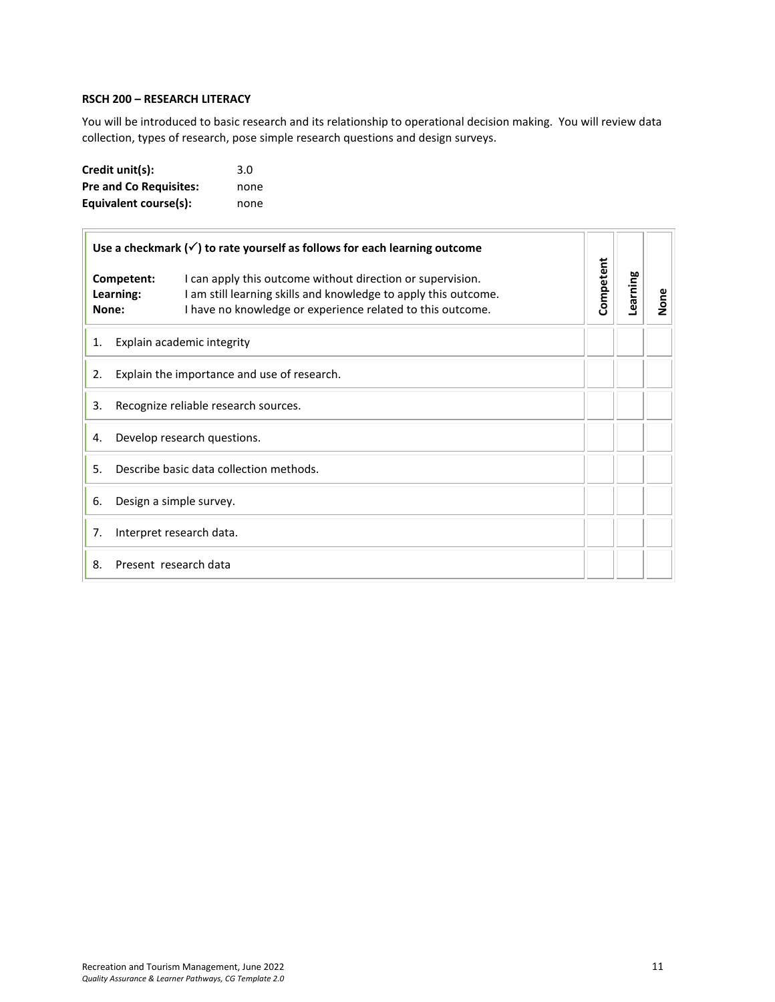#### <span id="page-10-0"></span>**RSCH 200 – RESEARCH LITERACY**

You will be introduced to basic research and its relationship to operational decision making. You will review data collection, types of research, pose simple research questions and design surveys.

| Credit unit(s):               | 3.0  |
|-------------------------------|------|
| <b>Pre and Co Requisites:</b> | none |
| Equivalent course(s):         | none |

| Use a checkmark $(\checkmark)$ to rate yourself as follows for each learning outcome |                                         |                                                                                                                                                                                             |           |          |      |
|--------------------------------------------------------------------------------------|-----------------------------------------|---------------------------------------------------------------------------------------------------------------------------------------------------------------------------------------------|-----------|----------|------|
| Competent:<br>Learning:<br>None:                                                     |                                         | I can apply this outcome without direction or supervision.<br>I am still learning skills and knowledge to apply this outcome.<br>I have no knowledge or experience related to this outcome. | Competent | Learning | None |
| 1.                                                                                   | Explain academic integrity              |                                                                                                                                                                                             |           |          |      |
| Explain the importance and use of research.<br>2.                                    |                                         |                                                                                                                                                                                             |           |          |      |
| 3.                                                                                   | Recognize reliable research sources.    |                                                                                                                                                                                             |           |          |      |
| Develop research questions.<br>4.                                                    |                                         |                                                                                                                                                                                             |           |          |      |
| .5.                                                                                  | Describe basic data collection methods. |                                                                                                                                                                                             |           |          |      |
| 6.                                                                                   | Design a simple survey.                 |                                                                                                                                                                                             |           |          |      |
| 7.                                                                                   | Interpret research data.                |                                                                                                                                                                                             |           |          |      |
| Present research data<br>8.                                                          |                                         |                                                                                                                                                                                             |           |          |      |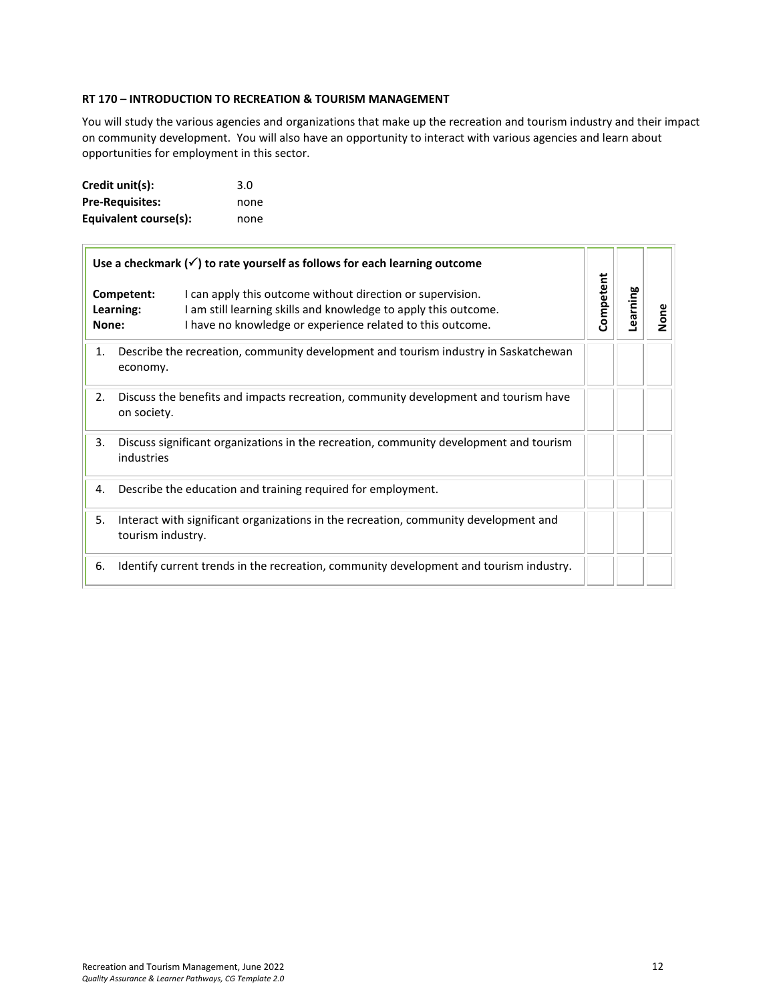#### <span id="page-11-0"></span>**RT 170 – INTRODUCTION TO RECREATION & TOURISM MANAGEMENT**

You will study the various agencies and organizations that make up the recreation and tourism industry and their impact on community development. You will also have an opportunity to interact with various agencies and learn about opportunities for employment in this sector.

| Credit unit(s):        | 3.0  |
|------------------------|------|
| <b>Pre-Requisites:</b> | none |
| Equivalent course(s):  | none |

| Use a checkmark $(\checkmark)$ to rate yourself as follows for each learning outcome |                                                                                                                                                                                                                        |           |          |      |
|--------------------------------------------------------------------------------------|------------------------------------------------------------------------------------------------------------------------------------------------------------------------------------------------------------------------|-----------|----------|------|
| None:                                                                                | Competent:<br>I can apply this outcome without direction or supervision.<br>I am still learning skills and knowledge to apply this outcome.<br>Learning:<br>I have no knowledge or experience related to this outcome. | Competent | Learning | None |
| 1.                                                                                   | Describe the recreation, community development and tourism industry in Saskatchewan<br>economy.                                                                                                                        |           |          |      |
| 2.                                                                                   | Discuss the benefits and impacts recreation, community development and tourism have<br>on society.                                                                                                                     |           |          |      |
| 3.                                                                                   | Discuss significant organizations in the recreation, community development and tourism<br>industries                                                                                                                   |           |          |      |
| 4.                                                                                   | Describe the education and training required for employment.                                                                                                                                                           |           |          |      |
| 5.                                                                                   | Interact with significant organizations in the recreation, community development and<br>tourism industry.                                                                                                              |           |          |      |
| 6.                                                                                   | Identify current trends in the recreation, community development and tourism industry.                                                                                                                                 |           |          |      |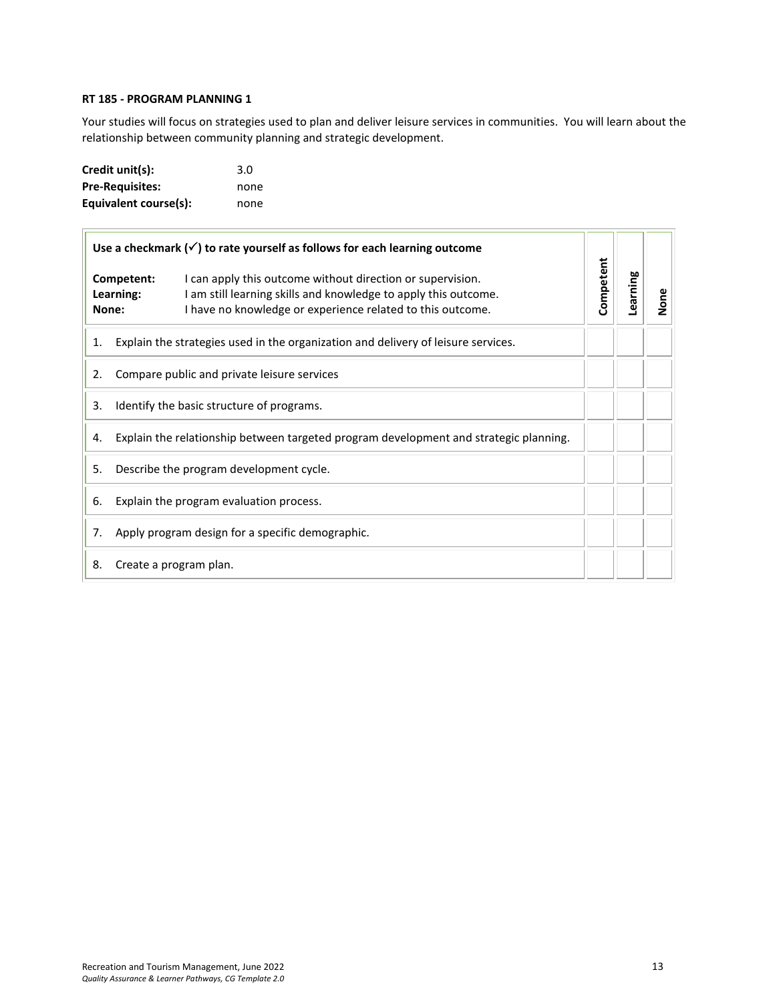#### <span id="page-12-0"></span>**RT 185 - PROGRAM PLANNING 1**

Your studies will focus on strategies used to plan and deliver leisure services in communities. You will learn about the relationship between community planning and strategic development.

| Credit unit(s):        | 3.0  |
|------------------------|------|
| <b>Pre-Requisites:</b> | none |
| Equivalent course(s):  | none |

|                                  | Use a checkmark $(\checkmark)$ to rate yourself as follows for each learning outcome  |                                                                                                                                                                                             |           |          |      |
|----------------------------------|---------------------------------------------------------------------------------------|---------------------------------------------------------------------------------------------------------------------------------------------------------------------------------------------|-----------|----------|------|
| Competent:<br>Learning:<br>None: |                                                                                       | I can apply this outcome without direction or supervision.<br>I am still learning skills and knowledge to apply this outcome.<br>I have no knowledge or experience related to this outcome. | Competent | Learning | None |
| 1.                               | Explain the strategies used in the organization and delivery of leisure services.     |                                                                                                                                                                                             |           |          |      |
| 2.                               | Compare public and private leisure services                                           |                                                                                                                                                                                             |           |          |      |
| 3.                               | Identify the basic structure of programs.                                             |                                                                                                                                                                                             |           |          |      |
| 4.                               | Explain the relationship between targeted program development and strategic planning. |                                                                                                                                                                                             |           |          |      |
| 5.                               | Describe the program development cycle.                                               |                                                                                                                                                                                             |           |          |      |
| 6.                               | Explain the program evaluation process.                                               |                                                                                                                                                                                             |           |          |      |
| 7.                               | Apply program design for a specific demographic.                                      |                                                                                                                                                                                             |           |          |      |
| 8.                               |                                                                                       | Create a program plan.                                                                                                                                                                      |           |          |      |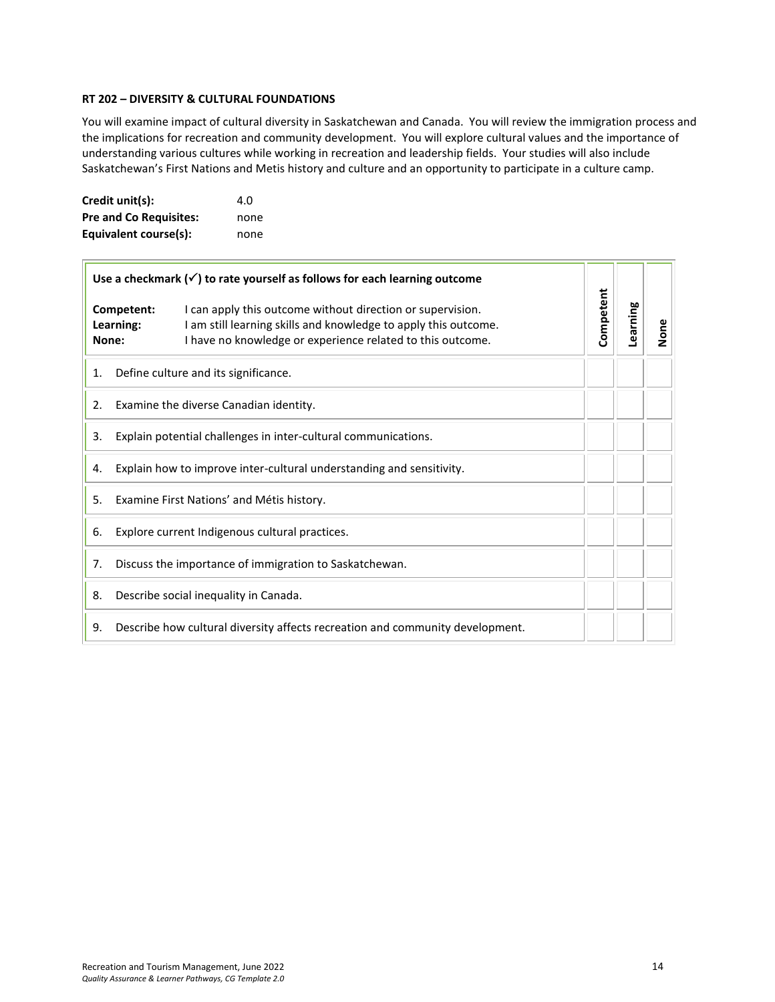#### <span id="page-13-0"></span>**RT 202 – DIVERSITY & CULTURAL FOUNDATIONS**

You will examine impact of cultural diversity in Saskatchewan and Canada. You will review the immigration process and the implications for recreation and community development. You will explore cultural values and the importance of understanding various cultures while working in recreation and leadership fields. Your studies will also include Saskatchewan's First Nations and Metis history and culture and an opportunity to participate in a culture camp.

| Credit unit(s):               | 4.O  |
|-------------------------------|------|
| <b>Pre and Co Requisites:</b> | none |
| Equivalent course(s):         | none |

| Use a checkmark $(\checkmark)$ to rate yourself as follows for each learning outcome |                                                                      |                                                                                                                                                                                             |           |          |      |
|--------------------------------------------------------------------------------------|----------------------------------------------------------------------|---------------------------------------------------------------------------------------------------------------------------------------------------------------------------------------------|-----------|----------|------|
|                                                                                      | Competent:<br>Learning:<br>None:                                     | I can apply this outcome without direction or supervision.<br>I am still learning skills and knowledge to apply this outcome.<br>I have no knowledge or experience related to this outcome. | Competent | Learning | None |
| 1.                                                                                   |                                                                      | Define culture and its significance.                                                                                                                                                        |           |          |      |
| 2.                                                                                   | Examine the diverse Canadian identity.                               |                                                                                                                                                                                             |           |          |      |
| 3.                                                                                   | Explain potential challenges in inter-cultural communications.       |                                                                                                                                                                                             |           |          |      |
| 4.                                                                                   | Explain how to improve inter-cultural understanding and sensitivity. |                                                                                                                                                                                             |           |          |      |
| 5.                                                                                   | Examine First Nations' and Métis history.                            |                                                                                                                                                                                             |           |          |      |
| 6.                                                                                   | Explore current Indigenous cultural practices.                       |                                                                                                                                                                                             |           |          |      |
| 7.                                                                                   | Discuss the importance of immigration to Saskatchewan.               |                                                                                                                                                                                             |           |          |      |
| 8.                                                                                   | Describe social inequality in Canada.                                |                                                                                                                                                                                             |           |          |      |
| 9.                                                                                   |                                                                      | Describe how cultural diversity affects recreation and community development.                                                                                                               |           |          |      |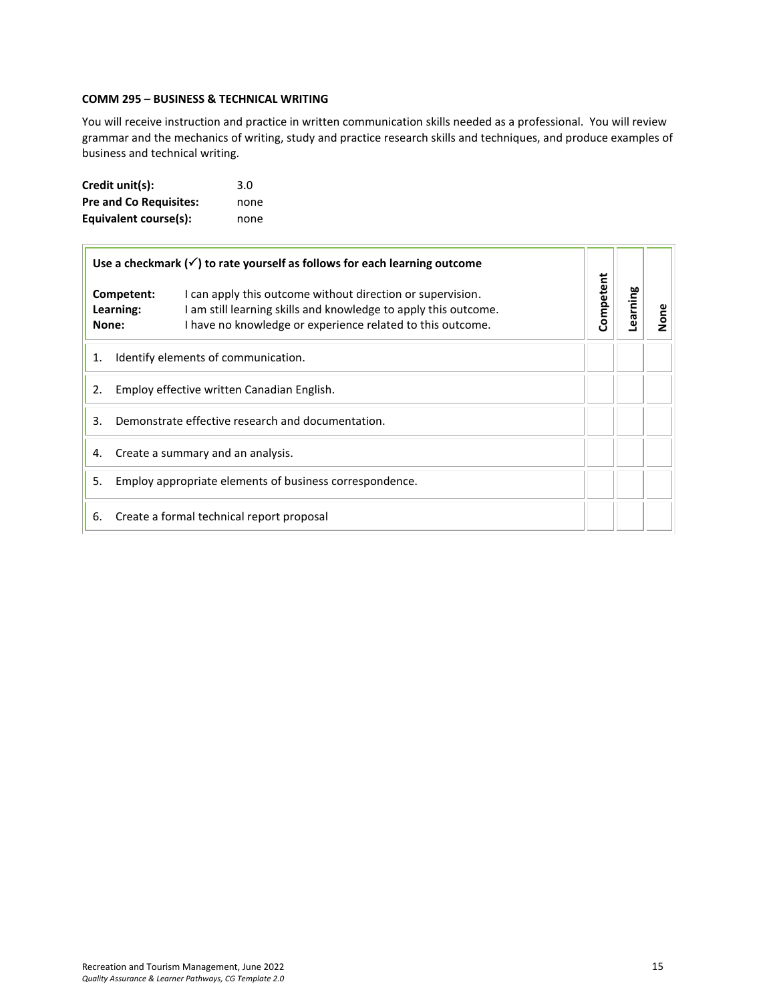## <span id="page-14-0"></span>**COMM 295 – BUSINESS & TECHNICAL WRITING**

You will receive instruction and practice in written communication skills needed as a professional. You will review grammar and the mechanics of writing, study and practice research skills and techniques, and produce examples of business and technical writing.

| Credit unit(s):               | 3.0  |
|-------------------------------|------|
| <b>Pre and Co Requisites:</b> | none |
| Equivalent course(s):         | none |

| Use a checkmark $(\checkmark)$ to rate yourself as follows for each learning outcome |                                                         |                                                                                                                                                                                             |           |         |      |
|--------------------------------------------------------------------------------------|---------------------------------------------------------|---------------------------------------------------------------------------------------------------------------------------------------------------------------------------------------------|-----------|---------|------|
|                                                                                      | Competent:<br>Learning:<br>None:                        | I can apply this outcome without direction or supervision.<br>I am still learning skills and knowledge to apply this outcome.<br>I have no knowledge or experience related to this outcome. | Competent | earning | None |
| 1.                                                                                   | Identify elements of communication.                     |                                                                                                                                                                                             |           |         |      |
| 2.                                                                                   | Employ effective written Canadian English.              |                                                                                                                                                                                             |           |         |      |
| Demonstrate effective research and documentation.<br>3.                              |                                                         |                                                                                                                                                                                             |           |         |      |
| Create a summary and an analysis.<br>4.                                              |                                                         |                                                                                                                                                                                             |           |         |      |
| 5.                                                                                   | Employ appropriate elements of business correspondence. |                                                                                                                                                                                             |           |         |      |
| 6.<br>Create a formal technical report proposal                                      |                                                         |                                                                                                                                                                                             |           |         |      |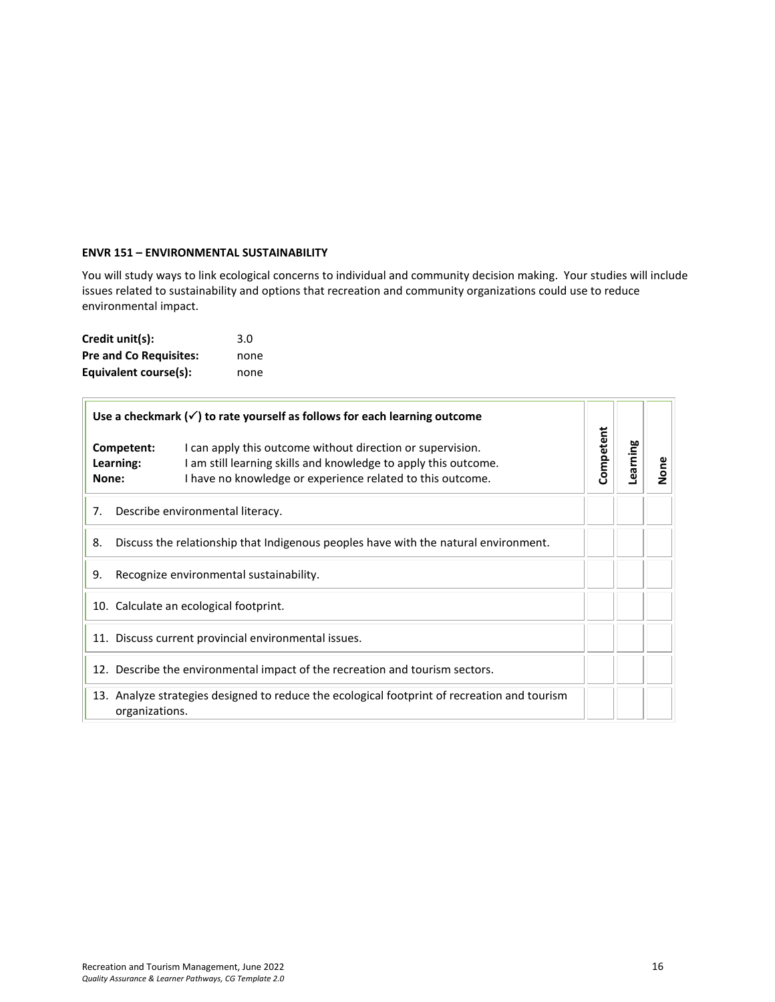#### <span id="page-15-0"></span>**ENVR 151 – ENVIRONMENTAL SUSTAINABILITY**

You will study ways to link ecological concerns to individual and community decision making. Your studies will include issues related to sustainability and options that recreation and community organizations could use to reduce environmental impact.

| Credit unit(s):               | 3.0  |
|-------------------------------|------|
| <b>Pre and Co Requisites:</b> | none |
| Equivalent course(s):         | none |

 $\overline{r}$ 

| Use a checkmark $(\checkmark)$ to rate yourself as follows for each learning outcome                           |                                                                                                                                                                                                                        |           |          |      |
|----------------------------------------------------------------------------------------------------------------|------------------------------------------------------------------------------------------------------------------------------------------------------------------------------------------------------------------------|-----------|----------|------|
| None:                                                                                                          | Competent:<br>I can apply this outcome without direction or supervision.<br>I am still learning skills and knowledge to apply this outcome.<br>Learning:<br>I have no knowledge or experience related to this outcome. | Competent | Learning | None |
| Describe environmental literacy.<br>7.                                                                         |                                                                                                                                                                                                                        |           |          |      |
| Discuss the relationship that Indigenous peoples have with the natural environment.<br>8.                      |                                                                                                                                                                                                                        |           |          |      |
| Recognize environmental sustainability.<br>9.                                                                  |                                                                                                                                                                                                                        |           |          |      |
| 10. Calculate an ecological footprint.                                                                         |                                                                                                                                                                                                                        |           |          |      |
| 11. Discuss current provincial environmental issues.                                                           |                                                                                                                                                                                                                        |           |          |      |
| 12. Describe the environmental impact of the recreation and tourism sectors.                                   |                                                                                                                                                                                                                        |           |          |      |
| 13. Analyze strategies designed to reduce the ecological footprint of recreation and tourism<br>organizations. |                                                                                                                                                                                                                        |           |          |      |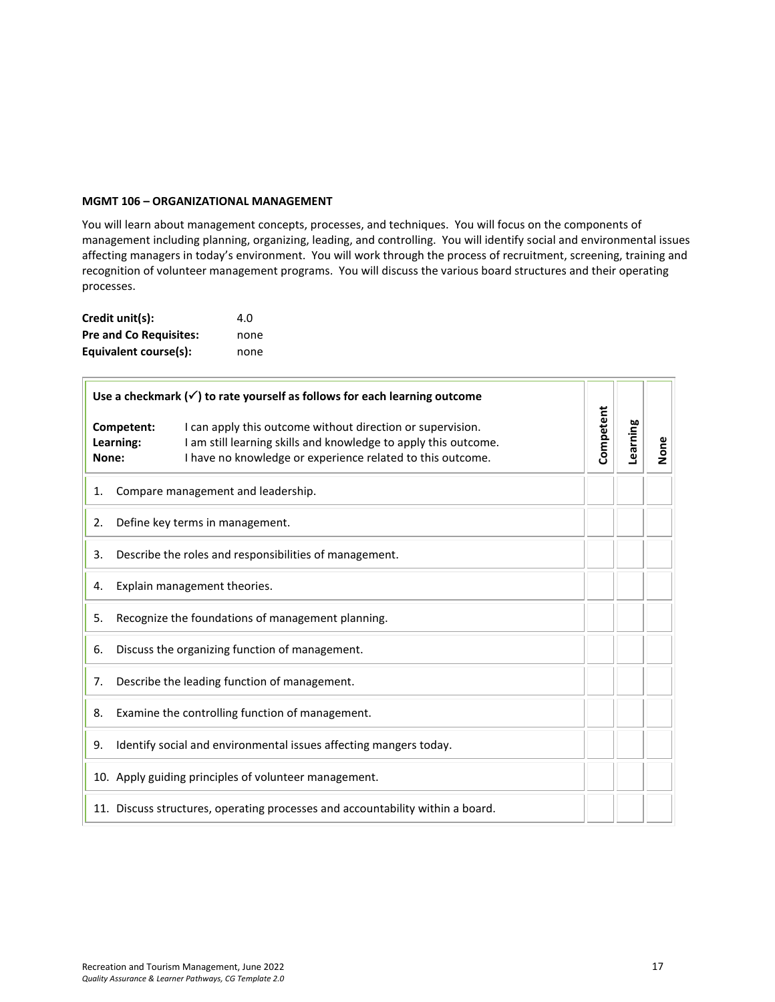#### <span id="page-16-0"></span>**MGMT 106 – ORGANIZATIONAL MANAGEMENT**

You will learn about management concepts, processes, and techniques. You will focus on the components of management including planning, organizing, leading, and controlling. You will identify social and environmental issues affecting managers in today's environment. You will work through the process of recruitment, screening, training and recognition of volunteer management programs. You will discuss the various board structures and their operating processes.

| Credit unit(s):               | 4.O  |
|-------------------------------|------|
| <b>Pre and Co Requisites:</b> | none |
| Equivalent course(s):         | none |

 $\overline{1}$ 

| Use a checkmark $(\checkmark)$ to rate yourself as follows for each learning outcome |                         |                                                                                                                                                                                             |           |          |      |
|--------------------------------------------------------------------------------------|-------------------------|---------------------------------------------------------------------------------------------------------------------------------------------------------------------------------------------|-----------|----------|------|
| None:                                                                                | Competent:<br>Learning: | I can apply this outcome without direction or supervision.<br>I am still learning skills and knowledge to apply this outcome.<br>I have no knowledge or experience related to this outcome. | Competent | Learning | None |
| 1.                                                                                   |                         | Compare management and leadership.                                                                                                                                                          |           |          |      |
| 2.                                                                                   |                         | Define key terms in management.                                                                                                                                                             |           |          |      |
| 3.                                                                                   |                         | Describe the roles and responsibilities of management.                                                                                                                                      |           |          |      |
| 4.                                                                                   |                         | Explain management theories.                                                                                                                                                                |           |          |      |
| 5.                                                                                   |                         | Recognize the foundations of management planning.                                                                                                                                           |           |          |      |
| 6.                                                                                   |                         | Discuss the organizing function of management.                                                                                                                                              |           |          |      |
| 7.                                                                                   |                         | Describe the leading function of management.                                                                                                                                                |           |          |      |
| 8.                                                                                   |                         | Examine the controlling function of management.                                                                                                                                             |           |          |      |
| 9.                                                                                   |                         | Identify social and environmental issues affecting mangers today.                                                                                                                           |           |          |      |
|                                                                                      |                         | 10. Apply guiding principles of volunteer management.                                                                                                                                       |           |          |      |
|                                                                                      |                         | 11. Discuss structures, operating processes and accountability within a board.                                                                                                              |           |          |      |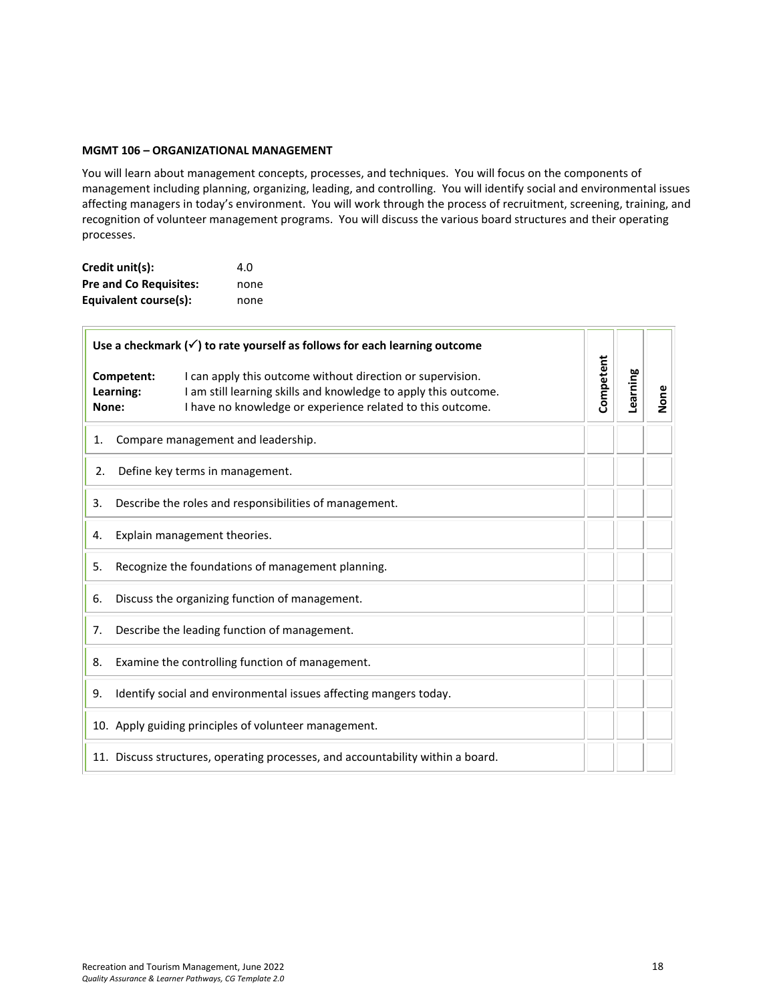#### **MGMT 106 – ORGANIZATIONAL MANAGEMENT**

You will learn about management concepts, processes, and techniques. You will focus on the components of management including planning, organizing, leading, and controlling. You will identify social and environmental issues affecting managers in today's environment. You will work through the process of recruitment, screening, training, and recognition of volunteer management programs. You will discuss the various board structures and their operating processes.

| Credit unit(s):               | 4.O  |
|-------------------------------|------|
| <b>Pre and Co Requisites:</b> | none |
| Equivalent course(s):         | none |

| Use a checkmark $(\checkmark)$ to rate yourself as follows for each learning outcome |                                                                                                                                                                                             |           |          |      |
|--------------------------------------------------------------------------------------|---------------------------------------------------------------------------------------------------------------------------------------------------------------------------------------------|-----------|----------|------|
| Competent:<br>Learning:<br>None:                                                     | I can apply this outcome without direction or supervision.<br>I am still learning skills and knowledge to apply this outcome.<br>I have no knowledge or experience related to this outcome. | Competent | Learning | None |
| 1.                                                                                   | Compare management and leadership.                                                                                                                                                          |           |          |      |
| 2.                                                                                   | Define key terms in management.                                                                                                                                                             |           |          |      |
| 3.                                                                                   | Describe the roles and responsibilities of management.                                                                                                                                      |           |          |      |
| 4.                                                                                   | Explain management theories.                                                                                                                                                                |           |          |      |
| 5.                                                                                   | Recognize the foundations of management planning.                                                                                                                                           |           |          |      |
| Discuss the organizing function of management.<br>6.                                 |                                                                                                                                                                                             |           |          |      |
| 7.                                                                                   | Describe the leading function of management.                                                                                                                                                |           |          |      |
| 8.                                                                                   | Examine the controlling function of management.                                                                                                                                             |           |          |      |
| 9.                                                                                   | Identify social and environmental issues affecting mangers today.                                                                                                                           |           |          |      |
|                                                                                      | 10. Apply guiding principles of volunteer management.                                                                                                                                       |           |          |      |
|                                                                                      | 11. Discuss structures, operating processes, and accountability within a board.                                                                                                             |           |          |      |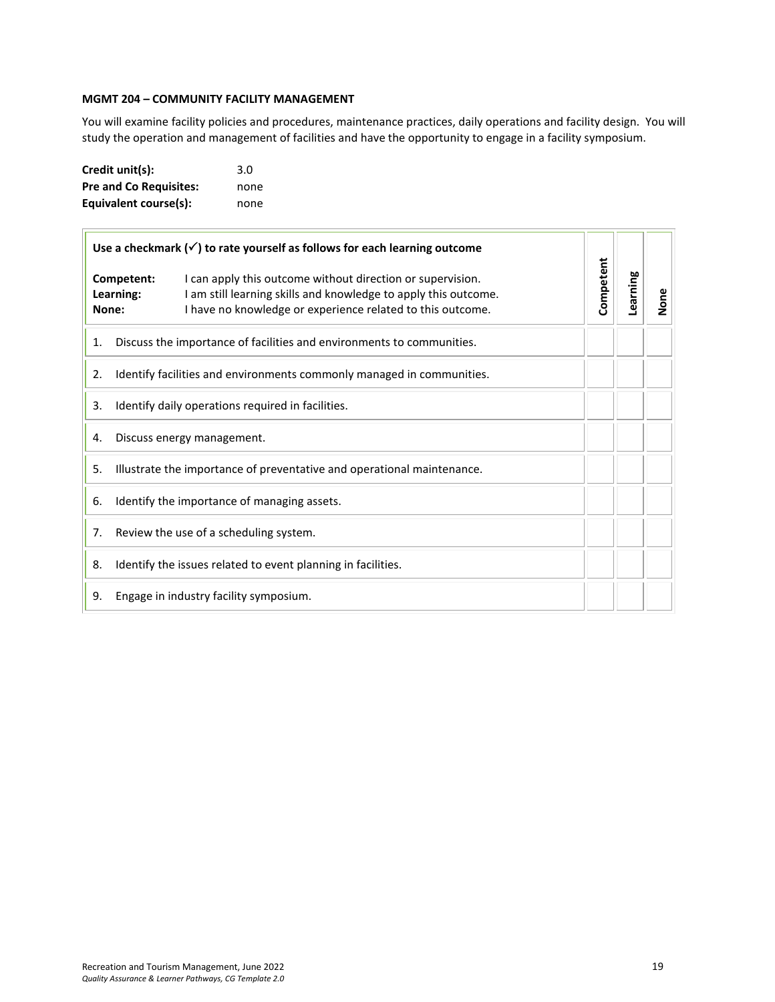## <span id="page-18-0"></span>**MGMT 204 – COMMUNITY FACILITY MANAGEMENT**

You will examine facility policies and procedures, maintenance practices, daily operations and facility design. You will study the operation and management of facilities and have the opportunity to engage in a facility symposium.

| Credit unit(s):               | 3.0  |
|-------------------------------|------|
| <b>Pre and Co Requisites:</b> | none |
| Equivalent course(s):         | none |

| Use a checkmark $(\checkmark)$ to rate yourself as follows for each learning outcome<br>Competent:<br>I can apply this outcome without direction or supervision.<br>I am still learning skills and knowledge to apply this outcome.<br>Learning:<br>I have no knowledge or experience related to this outcome.<br>None: |  |                                                                        |           |          |      |
|-------------------------------------------------------------------------------------------------------------------------------------------------------------------------------------------------------------------------------------------------------------------------------------------------------------------------|--|------------------------------------------------------------------------|-----------|----------|------|
|                                                                                                                                                                                                                                                                                                                         |  |                                                                        | Competent | Learning | None |
| 1.                                                                                                                                                                                                                                                                                                                      |  | Discuss the importance of facilities and environments to communities.  |           |          |      |
| 2.                                                                                                                                                                                                                                                                                                                      |  | Identify facilities and environments commonly managed in communities.  |           |          |      |
| 3.                                                                                                                                                                                                                                                                                                                      |  | Identify daily operations required in facilities.                      |           |          |      |
| 4.                                                                                                                                                                                                                                                                                                                      |  | Discuss energy management.                                             |           |          |      |
| 5.                                                                                                                                                                                                                                                                                                                      |  | Illustrate the importance of preventative and operational maintenance. |           |          |      |
| 6.                                                                                                                                                                                                                                                                                                                      |  | Identify the importance of managing assets.                            |           |          |      |
| 7.                                                                                                                                                                                                                                                                                                                      |  | Review the use of a scheduling system.                                 |           |          |      |
| 8.                                                                                                                                                                                                                                                                                                                      |  | Identify the issues related to event planning in facilities.           |           |          |      |
| 9.                                                                                                                                                                                                                                                                                                                      |  | Engage in industry facility symposium.                                 |           |          |      |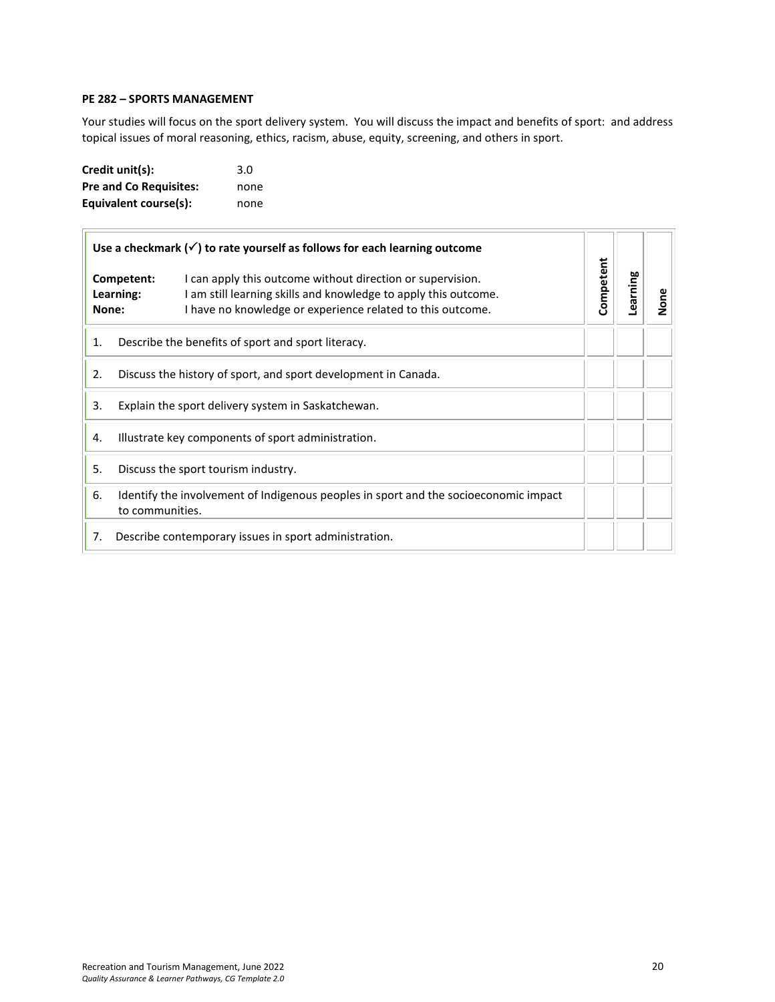#### <span id="page-19-0"></span>**PE 282 – SPORTS MANAGEMENT**

Your studies will focus on the sport delivery system. You will discuss the impact and benefits of sport: and address topical issues of moral reasoning, ethics, racism, abuse, equity, screening, and others in sport.

| Credit unit(s):               | 3.0  |
|-------------------------------|------|
| <b>Pre and Co Requisites:</b> | none |
| Equivalent course(s):         | none |

|    |                                  | Use a checkmark $(\checkmark)$ to rate yourself as follows for each learning outcome                                                                                                        |           |          |      |
|----|----------------------------------|---------------------------------------------------------------------------------------------------------------------------------------------------------------------------------------------|-----------|----------|------|
|    | Competent:<br>Learning:<br>None: | I can apply this outcome without direction or supervision.<br>I am still learning skills and knowledge to apply this outcome.<br>I have no knowledge or experience related to this outcome. | Competent | Learning | None |
| 1. |                                  | Describe the benefits of sport and sport literacy.                                                                                                                                          |           |          |      |
| 2. |                                  | Discuss the history of sport, and sport development in Canada.                                                                                                                              |           |          |      |
| 3. |                                  | Explain the sport delivery system in Saskatchewan.                                                                                                                                          |           |          |      |
| 4. |                                  | Illustrate key components of sport administration.                                                                                                                                          |           |          |      |
| 5. |                                  | Discuss the sport tourism industry.                                                                                                                                                         |           |          |      |
| 6. | to communities.                  | Identify the involvement of Indigenous peoples in sport and the socioeconomic impact                                                                                                        |           |          |      |
| 7. |                                  | Describe contemporary issues in sport administration.                                                                                                                                       |           |          |      |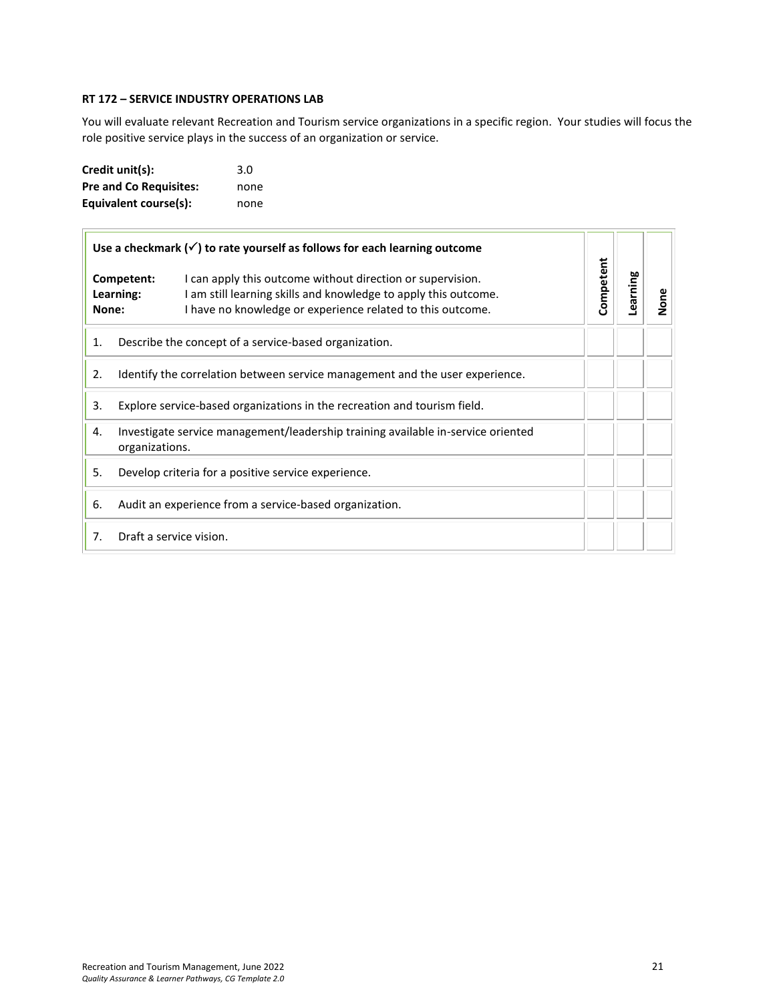#### <span id="page-20-0"></span>**RT 172 – SERVICE INDUSTRY OPERATIONS LAB**

You will evaluate relevant Recreation and Tourism service organizations in a specific region. Your studies will focus the role positive service plays in the success of an organization or service.

| Credit unit(s):               | 3.0  |
|-------------------------------|------|
| <b>Pre and Co Requisites:</b> | none |
| Equivalent course(s):         | none |

| Use a checkmark $(\checkmark)$ to rate yourself as follows for each learning outcome |                                                                                                                                                                                                                        |           |          |      |
|--------------------------------------------------------------------------------------|------------------------------------------------------------------------------------------------------------------------------------------------------------------------------------------------------------------------|-----------|----------|------|
| None:                                                                                | I can apply this outcome without direction or supervision.<br>Competent:<br>I am still learning skills and knowledge to apply this outcome.<br>Learning:<br>I have no knowledge or experience related to this outcome. | Competent | Learning | None |
| 1.                                                                                   | Describe the concept of a service-based organization.                                                                                                                                                                  |           |          |      |
| Identify the correlation between service management and the user experience.<br>2.   |                                                                                                                                                                                                                        |           |          |      |
| 3.                                                                                   | Explore service-based organizations in the recreation and tourism field.                                                                                                                                               |           |          |      |
| 4.                                                                                   | Investigate service management/leadership training available in-service oriented<br>organizations.                                                                                                                     |           |          |      |
| 5.                                                                                   | Develop criteria for a positive service experience.                                                                                                                                                                    |           |          |      |
| 6.                                                                                   | Audit an experience from a service-based organization.                                                                                                                                                                 |           |          |      |
| Draft a service vision.<br>7 <sub>1</sub>                                            |                                                                                                                                                                                                                        |           |          |      |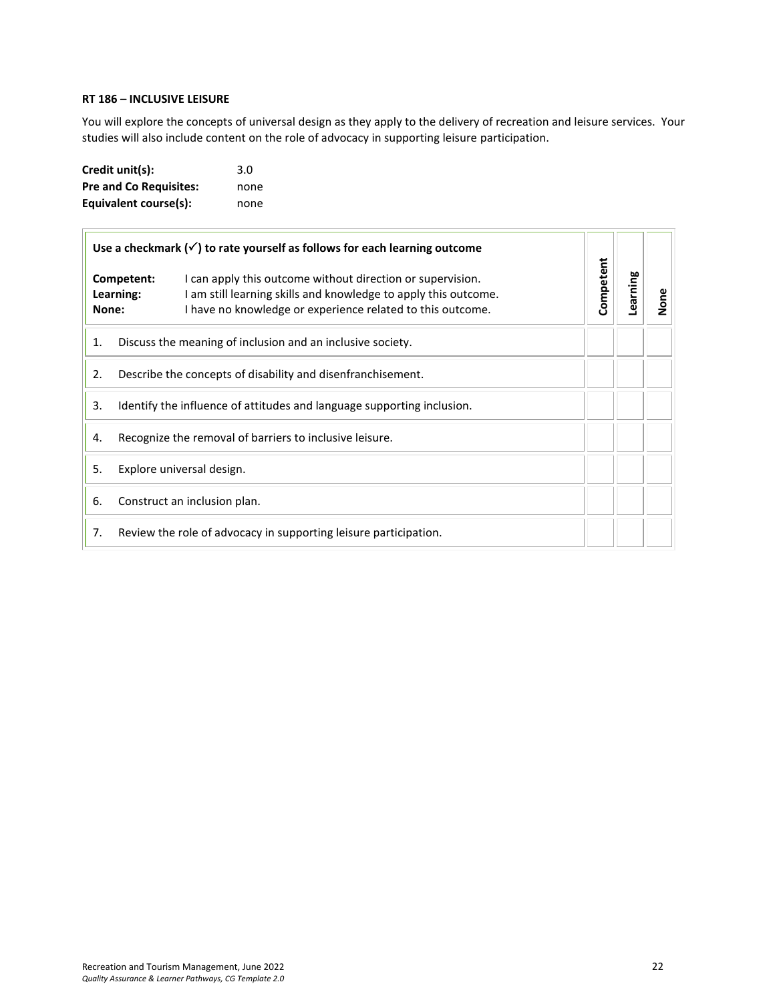#### <span id="page-21-0"></span>**RT 186 – INCLUSIVE LEISURE**

You will explore the concepts of universal design as they apply to the delivery of recreation and leisure services. Your studies will also include content on the role of advocacy in supporting leisure participation.

| Credit unit(s):               | 3.0  |
|-------------------------------|------|
| <b>Pre and Co Requisites:</b> | none |
| Equivalent course(s):         | none |

| Use a checkmark $(\check{\phantom{a}})$ to rate yourself as follows for each learning outcome |                                                         |                                                                                                                                                                                             |           |          |      |
|-----------------------------------------------------------------------------------------------|---------------------------------------------------------|---------------------------------------------------------------------------------------------------------------------------------------------------------------------------------------------|-----------|----------|------|
| Competent:<br>Learning:<br>None:                                                              |                                                         | I can apply this outcome without direction or supervision.<br>I am still learning skills and knowledge to apply this outcome.<br>I have no knowledge or experience related to this outcome. | Competent | Learning | None |
| Discuss the meaning of inclusion and an inclusive society.<br>1.                              |                                                         |                                                                                                                                                                                             |           |          |      |
| Describe the concepts of disability and disenfranchisement.<br>2.                             |                                                         |                                                                                                                                                                                             |           |          |      |
| 3.<br>Identify the influence of attitudes and language supporting inclusion.                  |                                                         |                                                                                                                                                                                             |           |          |      |
| 4.                                                                                            | Recognize the removal of barriers to inclusive leisure. |                                                                                                                                                                                             |           |          |      |
| 5.                                                                                            | Explore universal design.                               |                                                                                                                                                                                             |           |          |      |
| 6.                                                                                            | Construct an inclusion plan.                            |                                                                                                                                                                                             |           |          |      |
| 7.<br>Review the role of advocacy in supporting leisure participation.                        |                                                         |                                                                                                                                                                                             |           |          |      |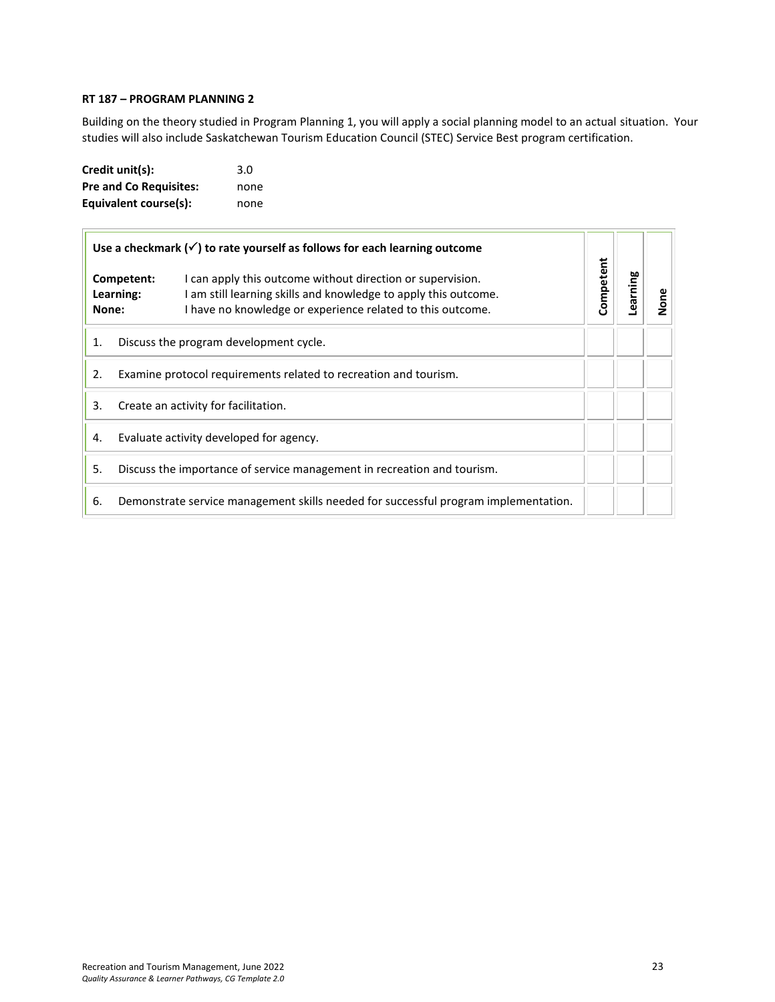#### <span id="page-22-0"></span>**RT 187 – PROGRAM PLANNING 2**

Building on the theory studied in Program Planning 1, you will apply a social planning model to an actual situation. Your studies will also include Saskatchewan Tourism Education Council (STEC) Service Best program certification.

| Credit unit(s):               | 3.0  |
|-------------------------------|------|
| <b>Pre and Co Requisites:</b> | none |
| Equivalent course(s):         | none |

| Use a checkmark $(\checkmark)$ to rate yourself as follows for each learning outcome |                                                                                     |                                                                                                                                                                                             |           |          |      |
|--------------------------------------------------------------------------------------|-------------------------------------------------------------------------------------|---------------------------------------------------------------------------------------------------------------------------------------------------------------------------------------------|-----------|----------|------|
| Competent:<br>Learning:<br>None:                                                     |                                                                                     | I can apply this outcome without direction or supervision.<br>I am still learning skills and knowledge to apply this outcome.<br>I have no knowledge or experience related to this outcome. | Competent | Learning | None |
| 1.                                                                                   | Discuss the program development cycle.                                              |                                                                                                                                                                                             |           |          |      |
| 2.                                                                                   | Examine protocol requirements related to recreation and tourism.                    |                                                                                                                                                                                             |           |          |      |
| 3.                                                                                   | Create an activity for facilitation.                                                |                                                                                                                                                                                             |           |          |      |
| 4.                                                                                   | Evaluate activity developed for agency.                                             |                                                                                                                                                                                             |           |          |      |
| 5.                                                                                   | Discuss the importance of service management in recreation and tourism.             |                                                                                                                                                                                             |           |          |      |
| 6.                                                                                   | Demonstrate service management skills needed for successful program implementation. |                                                                                                                                                                                             |           |          |      |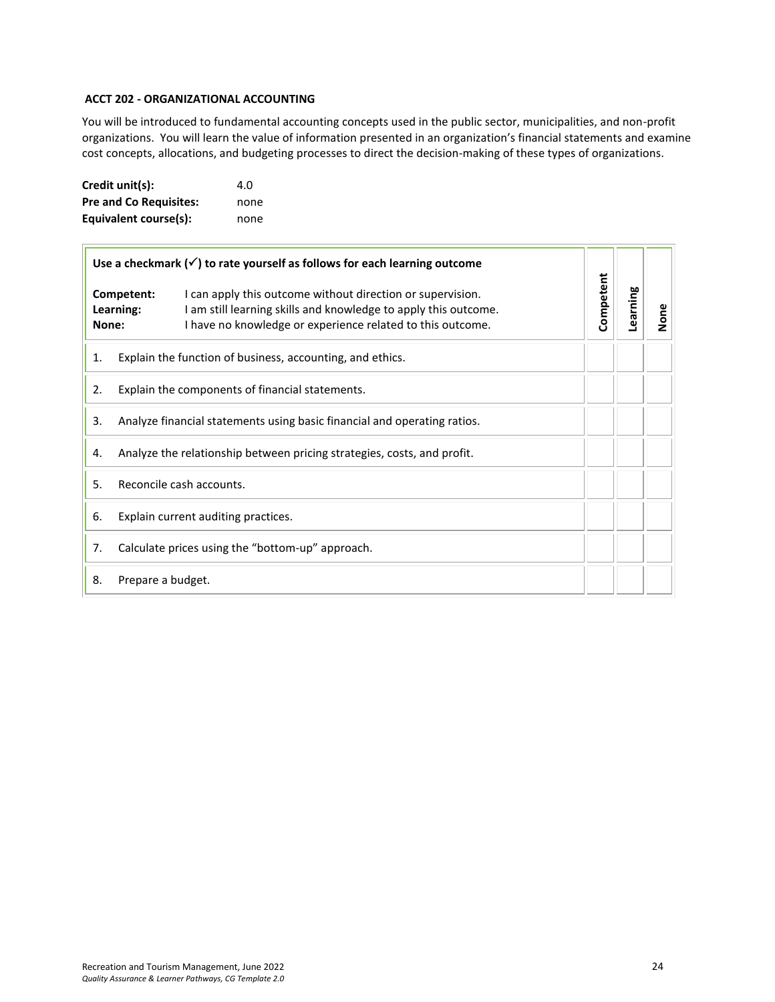## <span id="page-23-0"></span>**ACCT 202 - ORGANIZATIONAL ACCOUNTING**

You will be introduced to fundamental accounting concepts used in the public sector, municipalities, and non-profit organizations. You will learn the value of information presented in an organization's financial statements and examine cost concepts, allocations, and budgeting processes to direct the decision-making of these types of organizations.

| Credit unit(s):               | 4.O  |
|-------------------------------|------|
| <b>Pre and Co Requisites:</b> | none |
| Equivalent course(s):         | none |

|       | Use a checkmark $(\checkmark)$ to rate yourself as follows for each learning outcome |                                                                                                                                                                                             |           |          |      |
|-------|--------------------------------------------------------------------------------------|---------------------------------------------------------------------------------------------------------------------------------------------------------------------------------------------|-----------|----------|------|
| None: | Competent:<br>Learning:                                                              | I can apply this outcome without direction or supervision.<br>I am still learning skills and knowledge to apply this outcome.<br>I have no knowledge or experience related to this outcome. | Competent | Learning | None |
| 1.    | Explain the function of business, accounting, and ethics.                            |                                                                                                                                                                                             |           |          |      |
| 2.    | Explain the components of financial statements.                                      |                                                                                                                                                                                             |           |          |      |
| 3.    | Analyze financial statements using basic financial and operating ratios.             |                                                                                                                                                                                             |           |          |      |
| 4.    | Analyze the relationship between pricing strategies, costs, and profit.              |                                                                                                                                                                                             |           |          |      |
| 5.    | Reconcile cash accounts.                                                             |                                                                                                                                                                                             |           |          |      |
| 6.    | Explain current auditing practices.                                                  |                                                                                                                                                                                             |           |          |      |
| 7.    | Calculate prices using the "bottom-up" approach.                                     |                                                                                                                                                                                             |           |          |      |
| 8.    | Prepare a budget.                                                                    |                                                                                                                                                                                             |           |          |      |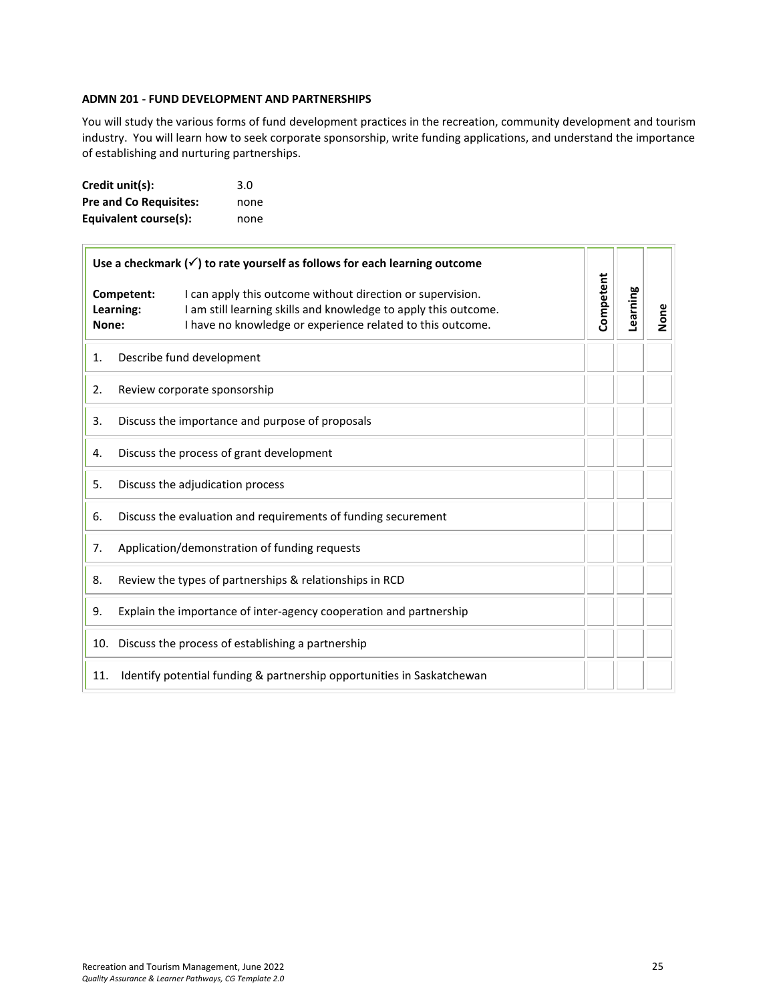#### <span id="page-24-0"></span>**ADMN 201 - FUND DEVELOPMENT AND PARTNERSHIPS**

You will study the various forms of fund development practices in the recreation, community development and tourism industry. You will learn how to seek corporate sponsorship, write funding applications, and understand the importance of establishing and nurturing partnerships.

| Credit unit(s):               | 3.0  |
|-------------------------------|------|
| <b>Pre and Co Requisites:</b> | none |
| Equivalent course(s):         | none |

| Use a checkmark $(\checkmark)$ to rate yourself as follows for each learning outcome |                                                                    |                                                                                                                                                                                             |           |          |      |
|--------------------------------------------------------------------------------------|--------------------------------------------------------------------|---------------------------------------------------------------------------------------------------------------------------------------------------------------------------------------------|-----------|----------|------|
| Competent:<br>Learning:<br>None:                                                     |                                                                    | I can apply this outcome without direction or supervision.<br>I am still learning skills and knowledge to apply this outcome.<br>I have no knowledge or experience related to this outcome. | Competent | Learning | None |
| 1.                                                                                   |                                                                    | Describe fund development                                                                                                                                                                   |           |          |      |
| 2.                                                                                   |                                                                    | Review corporate sponsorship                                                                                                                                                                |           |          |      |
| 3.                                                                                   |                                                                    | Discuss the importance and purpose of proposals                                                                                                                                             |           |          |      |
| 4.                                                                                   | Discuss the process of grant development                           |                                                                                                                                                                                             |           |          |      |
| Discuss the adjudication process<br>5.                                               |                                                                    |                                                                                                                                                                                             |           |          |      |
| Discuss the evaluation and requirements of funding securement<br>6.                  |                                                                    |                                                                                                                                                                                             |           |          |      |
| Application/demonstration of funding requests<br>7.                                  |                                                                    |                                                                                                                                                                                             |           |          |      |
| Review the types of partnerships & relationships in RCD<br>8.                        |                                                                    |                                                                                                                                                                                             |           |          |      |
| 9.                                                                                   | Explain the importance of inter-agency cooperation and partnership |                                                                                                                                                                                             |           |          |      |
| Discuss the process of establishing a partnership<br>10.                             |                                                                    |                                                                                                                                                                                             |           |          |      |
| 11.                                                                                  |                                                                    | Identify potential funding & partnership opportunities in Saskatchewan                                                                                                                      |           |          |      |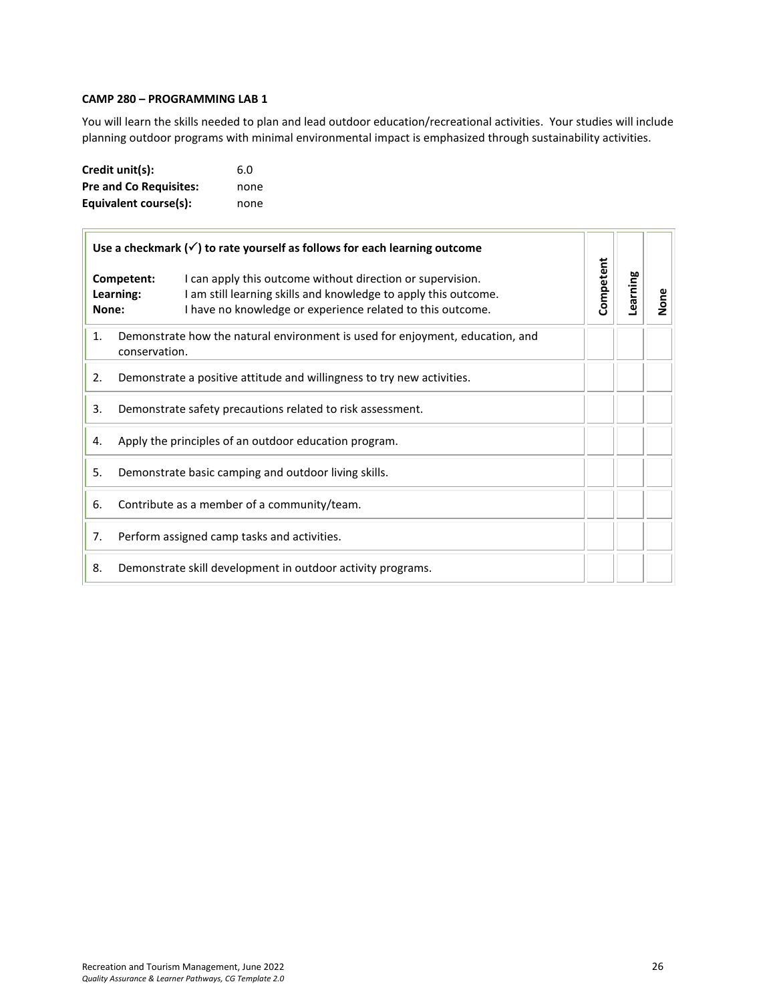#### <span id="page-25-0"></span>**CAMP 280 – PROGRAMMING LAB 1**

You will learn the skills needed to plan and lead outdoor education/recreational activities. Your studies will include planning outdoor programs with minimal environmental impact is emphasized through sustainability activities.

| Credit unit(s):               | 6.0  |
|-------------------------------|------|
| <b>Pre and Co Requisites:</b> | none |
| Equivalent course(s):         | none |

| Use a checkmark $(\checkmark)$ to rate yourself as follows for each learning outcome                 |                                                                                                                                                                                                                        |           |          |      |
|------------------------------------------------------------------------------------------------------|------------------------------------------------------------------------------------------------------------------------------------------------------------------------------------------------------------------------|-----------|----------|------|
| None:                                                                                                | Competent:<br>I can apply this outcome without direction or supervision.<br>I am still learning skills and knowledge to apply this outcome.<br>Learning:<br>I have no knowledge or experience related to this outcome. | Competent | Learning | None |
| Demonstrate how the natural environment is used for enjoyment, education, and<br>1.<br>conservation. |                                                                                                                                                                                                                        |           |          |      |
| 2.<br>Demonstrate a positive attitude and willingness to try new activities.                         |                                                                                                                                                                                                                        |           |          |      |
| 3.<br>Demonstrate safety precautions related to risk assessment.                                     |                                                                                                                                                                                                                        |           |          |      |
| Apply the principles of an outdoor education program.<br>4.                                          |                                                                                                                                                                                                                        |           |          |      |
| 5.<br>Demonstrate basic camping and outdoor living skills.                                           |                                                                                                                                                                                                                        |           |          |      |
| 6.                                                                                                   | Contribute as a member of a community/team.                                                                                                                                                                            |           |          |      |
| 7.                                                                                                   | Perform assigned camp tasks and activities.                                                                                                                                                                            |           |          |      |
| 8.                                                                                                   | Demonstrate skill development in outdoor activity programs.                                                                                                                                                            |           |          |      |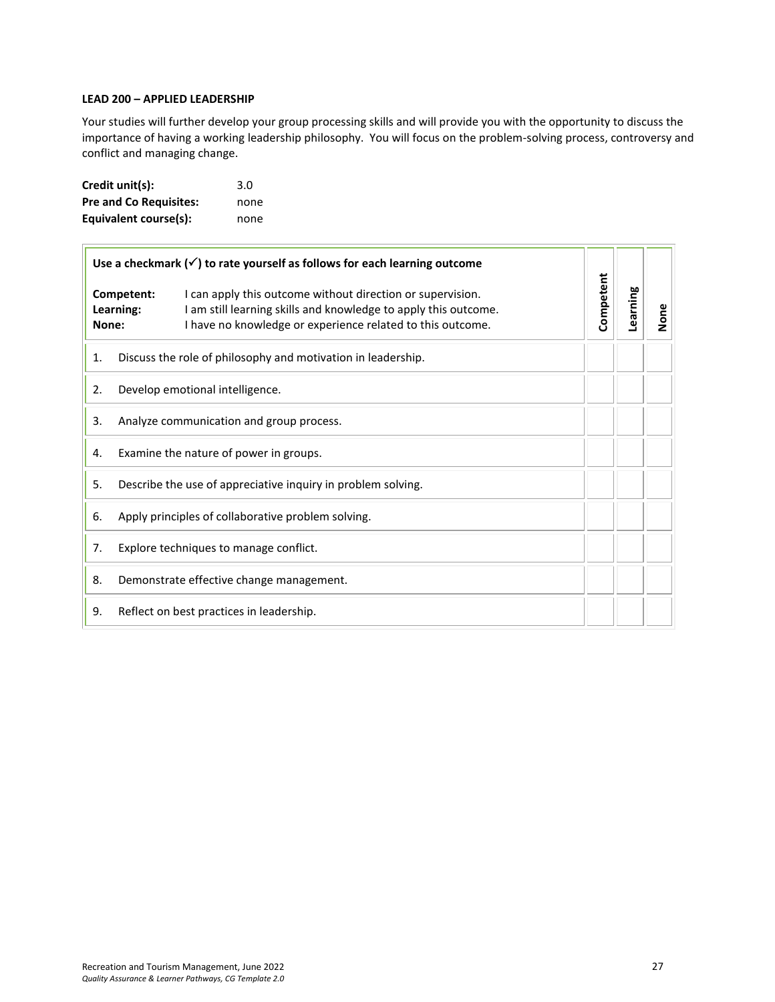#### **LEAD 200 – APPLIED LEADERSHIP**

Your studies will further develop your group processing skills and will provide you with the opportunity to discuss the importance of having a working leadership philosophy. You will focus on the problem-solving process, controversy and conflict and managing change.

| Credit unit(s):               | 3.0  |
|-------------------------------|------|
| <b>Pre and Co Requisites:</b> | none |
| Equivalent course(s):         | none |

|       | Use a checkmark $(\checkmark)$ to rate yourself as follows for each learning outcome |                                                                                                                                                                                             |           |          |      |
|-------|--------------------------------------------------------------------------------------|---------------------------------------------------------------------------------------------------------------------------------------------------------------------------------------------|-----------|----------|------|
| None: | Competent:<br>Learning:                                                              | I can apply this outcome without direction or supervision.<br>I am still learning skills and knowledge to apply this outcome.<br>I have no knowledge or experience related to this outcome. | Competent | Learning | None |
| 1.    | Discuss the role of philosophy and motivation in leadership.                         |                                                                                                                                                                                             |           |          |      |
| 2.    | Develop emotional intelligence.                                                      |                                                                                                                                                                                             |           |          |      |
| 3.    | Analyze communication and group process.                                             |                                                                                                                                                                                             |           |          |      |
| 4.    | Examine the nature of power in groups.                                               |                                                                                                                                                                                             |           |          |      |
| 5.    | Describe the use of appreciative inquiry in problem solving.                         |                                                                                                                                                                                             |           |          |      |
| 6.    | Apply principles of collaborative problem solving.                                   |                                                                                                                                                                                             |           |          |      |
| 7.    | Explore techniques to manage conflict.                                               |                                                                                                                                                                                             |           |          |      |
| 8.    | Demonstrate effective change management.                                             |                                                                                                                                                                                             |           |          |      |
| 9.    |                                                                                      | Reflect on best practices in leadership.                                                                                                                                                    |           |          |      |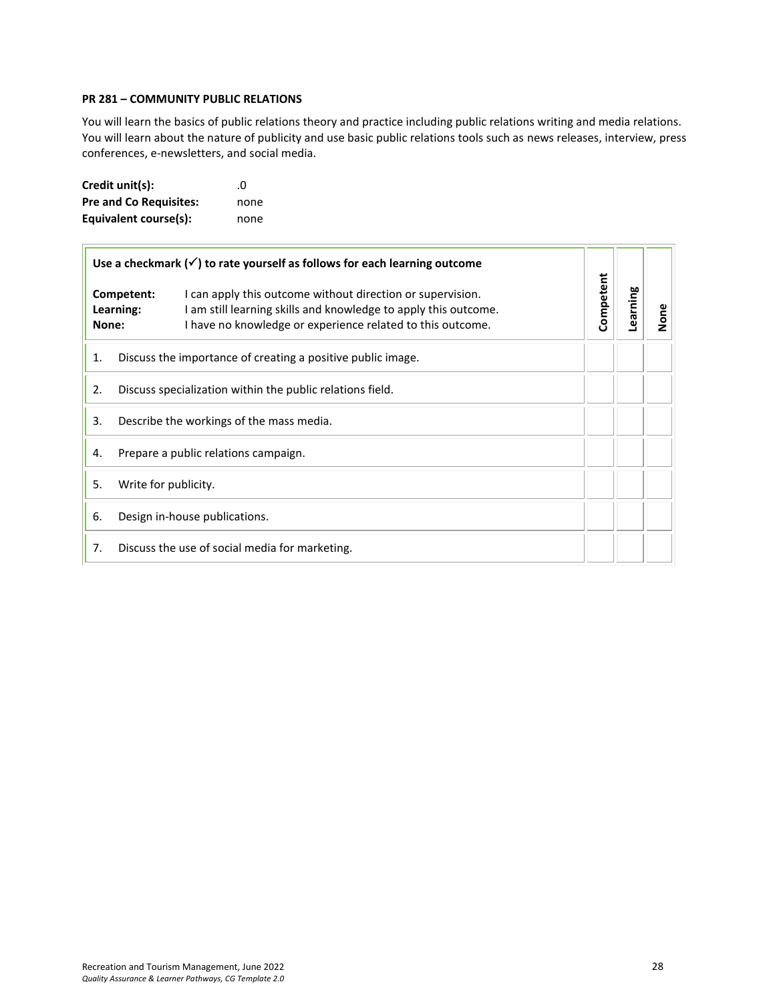#### <span id="page-27-0"></span>**PR 281 – COMMUNITY PUBLIC RELATIONS**

You will learn the basics of public relations theory and practice including public relations writing and media relations. You will learn about the nature of publicity and use basic public relations tools such as news releases, interview, press conferences, e-newsletters, and social media.

| Credit unit(s):               | $\Omega$ |
|-------------------------------|----------|
| <b>Pre and Co Requisites:</b> | none     |
| Equivalent course(s):         | none     |

| Use a checkmark $(\checkmark)$ to rate yourself as follows for each learning outcome |                                                                                                                                                                                                                        |           |          |      |
|--------------------------------------------------------------------------------------|------------------------------------------------------------------------------------------------------------------------------------------------------------------------------------------------------------------------|-----------|----------|------|
| None:                                                                                | Competent:<br>I can apply this outcome without direction or supervision.<br>I am still learning skills and knowledge to apply this outcome.<br>Learning:<br>I have no knowledge or experience related to this outcome. | Competent | Learning | None |
| Discuss the importance of creating a positive public image.<br>1.                    |                                                                                                                                                                                                                        |           |          |      |
| 2.<br>Discuss specialization within the public relations field.                      |                                                                                                                                                                                                                        |           |          |      |
| 3.<br>Describe the workings of the mass media.                                       |                                                                                                                                                                                                                        |           |          |      |
| Prepare a public relations campaign.<br>4.                                           |                                                                                                                                                                                                                        |           |          |      |
| 5.                                                                                   | Write for publicity.                                                                                                                                                                                                   |           |          |      |
| 6.                                                                                   | Design in-house publications.                                                                                                                                                                                          |           |          |      |
| 7.<br>Discuss the use of social media for marketing.                                 |                                                                                                                                                                                                                        |           |          |      |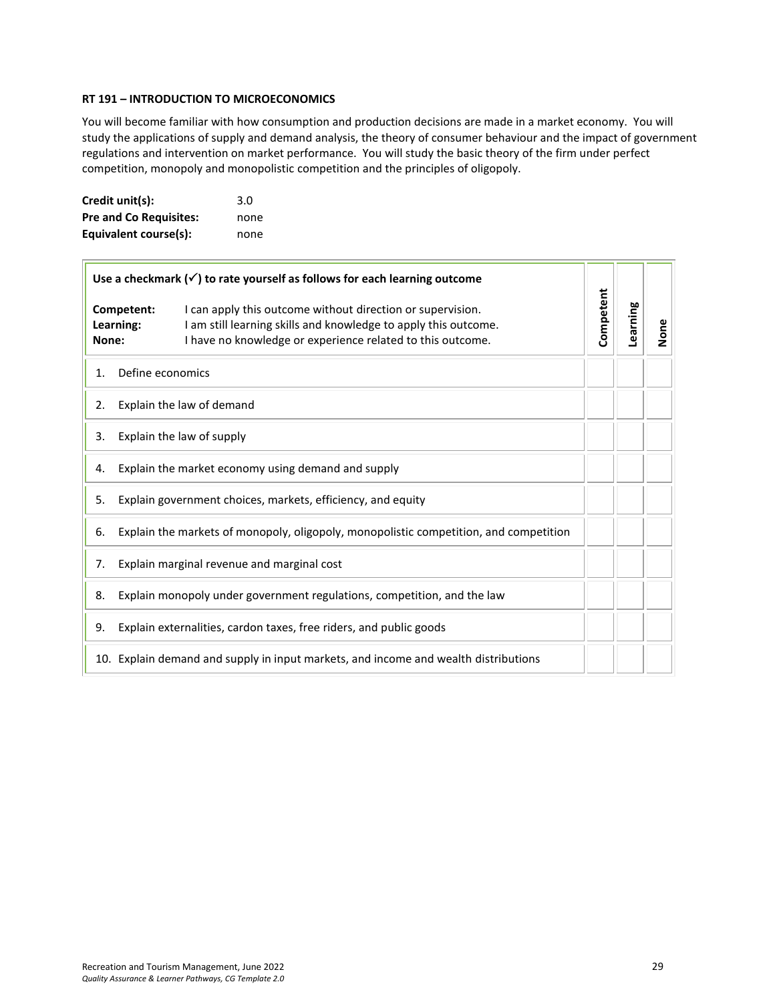## <span id="page-28-0"></span>**RT 191 – INTRODUCTION TO MICROECONOMICS**

You will become familiar with how consumption and production decisions are made in a market economy. You will study the applications of supply and demand analysis, the theory of consumer behaviour and the impact of government regulations and intervention on market performance. You will study the basic theory of the firm under perfect competition, monopoly and monopolistic competition and the principles of oligopoly.

| Credit unit(s):               | 3.0  |
|-------------------------------|------|
| <b>Pre and Co Requisites:</b> | none |
| Equivalent course(s):         | none |

| Use a checkmark $(\checkmark)$ to rate yourself as follows for each learning outcome        |                  |                                                                                                                                                                                             |           |          |      |
|---------------------------------------------------------------------------------------------|------------------|---------------------------------------------------------------------------------------------------------------------------------------------------------------------------------------------|-----------|----------|------|
| Competent:<br>Learning:<br>None:                                                            |                  | I can apply this outcome without direction or supervision.<br>I am still learning skills and knowledge to apply this outcome.<br>I have no knowledge or experience related to this outcome. | Competent | Learning | None |
| 1.                                                                                          | Define economics |                                                                                                                                                                                             |           |          |      |
| 2.                                                                                          |                  | Explain the law of demand                                                                                                                                                                   |           |          |      |
| Explain the law of supply<br>3.                                                             |                  |                                                                                                                                                                                             |           |          |      |
| 4.                                                                                          |                  | Explain the market economy using demand and supply                                                                                                                                          |           |          |      |
| Explain government choices, markets, efficiency, and equity<br>5.                           |                  |                                                                                                                                                                                             |           |          |      |
| Explain the markets of monopoly, oligopoly, monopolistic competition, and competition<br>6. |                  |                                                                                                                                                                                             |           |          |      |
| Explain marginal revenue and marginal cost<br>7.                                            |                  |                                                                                                                                                                                             |           |          |      |
| Explain monopoly under government regulations, competition, and the law<br>8.               |                  |                                                                                                                                                                                             |           |          |      |
| 9.                                                                                          |                  | Explain externalities, cardon taxes, free riders, and public goods                                                                                                                          |           |          |      |
|                                                                                             |                  | 10. Explain demand and supply in input markets, and income and wealth distributions                                                                                                         |           |          |      |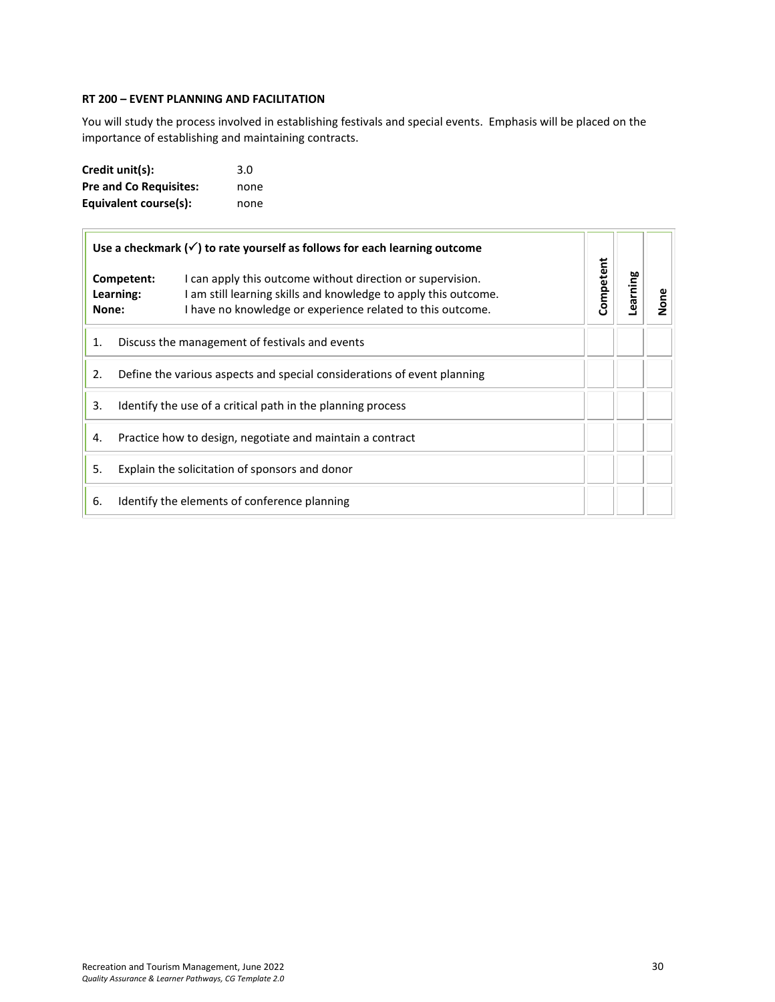# <span id="page-29-0"></span>**RT 200 – EVENT PLANNING AND FACILITATION**

You will study the process involved in establishing festivals and special events. Emphasis will be placed on the importance of establishing and maintaining contracts.

| Credit unit(s):               | 3.0  |
|-------------------------------|------|
| <b>Pre and Co Requisites:</b> | none |
| Equivalent course(s):         | none |

|       | Use a checkmark $(\checkmark)$ to rate yourself as follows for each learning outcome |                                                                                                                                                                                             |           |         |      |
|-------|--------------------------------------------------------------------------------------|---------------------------------------------------------------------------------------------------------------------------------------------------------------------------------------------|-----------|---------|------|
| None: | Competent:<br>Learning:                                                              | I can apply this outcome without direction or supervision.<br>I am still learning skills and knowledge to apply this outcome.<br>I have no knowledge or experience related to this outcome. | Competent | earning | None |
| 1.    |                                                                                      | Discuss the management of festivals and events                                                                                                                                              |           |         |      |
| 2.    |                                                                                      | Define the various aspects and special considerations of event planning                                                                                                                     |           |         |      |
| 3.    |                                                                                      | Identify the use of a critical path in the planning process                                                                                                                                 |           |         |      |
| 4.    |                                                                                      | Practice how to design, negotiate and maintain a contract                                                                                                                                   |           |         |      |
| 5.    |                                                                                      | Explain the solicitation of sponsors and donor                                                                                                                                              |           |         |      |
| 6.    |                                                                                      | Identify the elements of conference planning                                                                                                                                                |           |         |      |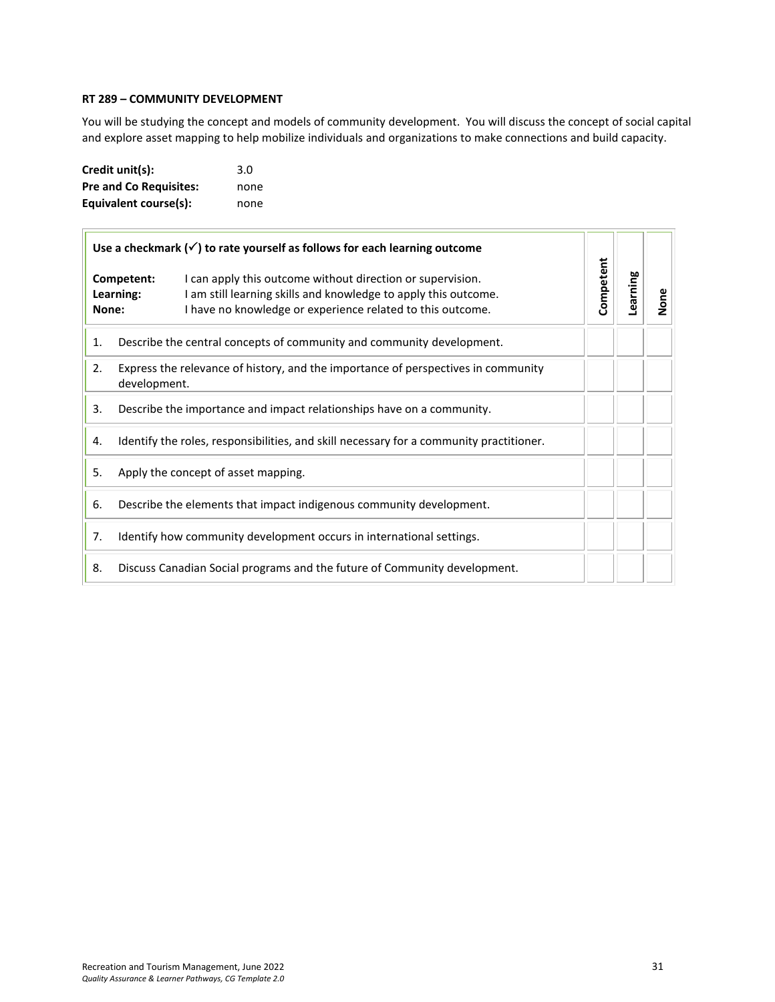#### <span id="page-30-0"></span>**RT 289 – COMMUNITY DEVELOPMENT**

You will be studying the concept and models of community development. You will discuss the concept of social capital and explore asset mapping to help mobilize individuals and organizations to make connections and build capacity.

| Credit unit(s):               | 3.0  |
|-------------------------------|------|
| <b>Pre and Co Requisites:</b> | none |
| Equivalent course(s):         | none |

| Use a checkmark $(\checkmark)$ to rate yourself as follows for each learning outcome |                                                                                                                                                                                                                        |           | Learning |      |
|--------------------------------------------------------------------------------------|------------------------------------------------------------------------------------------------------------------------------------------------------------------------------------------------------------------------|-----------|----------|------|
| None:                                                                                | Competent:<br>I can apply this outcome without direction or supervision.<br>I am still learning skills and knowledge to apply this outcome.<br>Learning:<br>I have no knowledge or experience related to this outcome. | Competent |          | None |
| 1.                                                                                   | Describe the central concepts of community and community development.                                                                                                                                                  |           |          |      |
| 2.                                                                                   | Express the relevance of history, and the importance of perspectives in community<br>development.                                                                                                                      |           |          |      |
| 3.                                                                                   | Describe the importance and impact relationships have on a community.                                                                                                                                                  |           |          |      |
| 4.                                                                                   | Identify the roles, responsibilities, and skill necessary for a community practitioner.                                                                                                                                |           |          |      |
| 5.                                                                                   | Apply the concept of asset mapping.                                                                                                                                                                                    |           |          |      |
| 6.                                                                                   | Describe the elements that impact indigenous community development.                                                                                                                                                    |           |          |      |
| 7.                                                                                   | Identify how community development occurs in international settings.                                                                                                                                                   |           |          |      |
| 8.                                                                                   | Discuss Canadian Social programs and the future of Community development.                                                                                                                                              |           |          |      |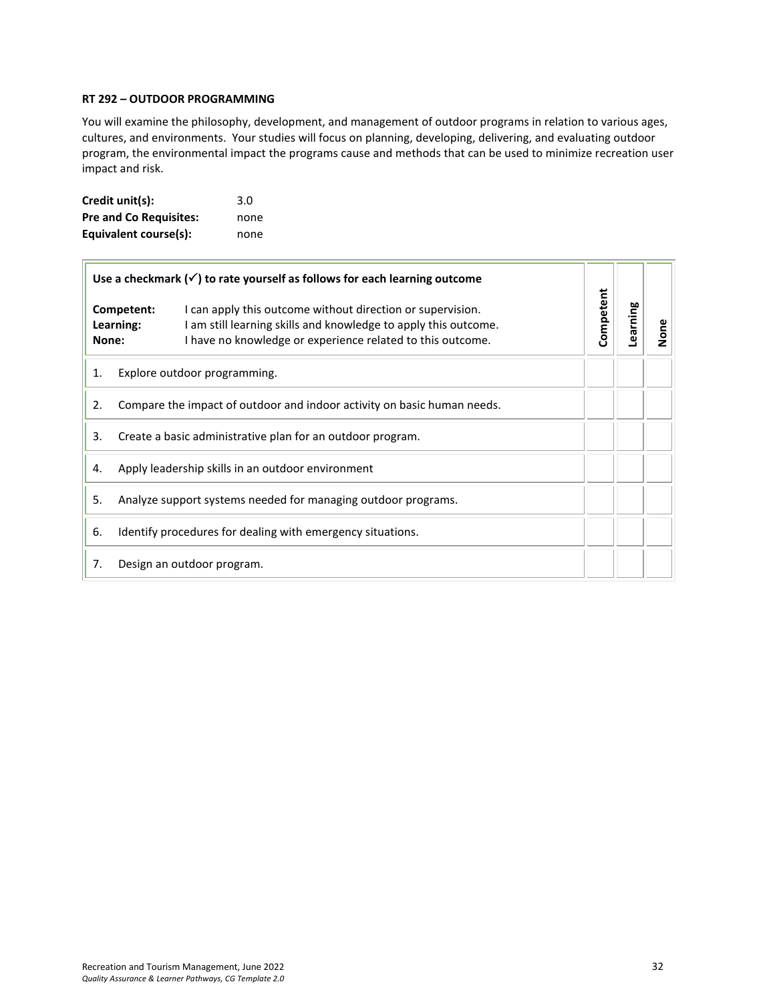#### <span id="page-31-0"></span>**RT 292 – OUTDOOR PROGRAMMING**

You will examine the philosophy, development, and management of outdoor programs in relation to various ages, cultures, and environments. Your studies will focus on planning, developing, delivering, and evaluating outdoor program, the environmental impact the programs cause and methods that can be used to minimize recreation user impact and risk.

| Credit unit(s):               | 3.0  |
|-------------------------------|------|
| <b>Pre and Co Requisites:</b> | none |
| Equivalent course(s):         | none |

| Use a checkmark $(\checkmark)$ to rate yourself as follows for each learning outcome<br>Competent:<br>I can apply this outcome without direction or supervision.<br>I am still learning skills and knowledge to apply this outcome.<br>Learning:<br>I have no knowledge or experience related to this outcome.<br>None: |                                                                         |  |           |          |      |
|-------------------------------------------------------------------------------------------------------------------------------------------------------------------------------------------------------------------------------------------------------------------------------------------------------------------------|-------------------------------------------------------------------------|--|-----------|----------|------|
|                                                                                                                                                                                                                                                                                                                         |                                                                         |  | Competent | Learning | None |
| Explore outdoor programming.<br>1.                                                                                                                                                                                                                                                                                      |                                                                         |  |           |          |      |
| 2.                                                                                                                                                                                                                                                                                                                      | Compare the impact of outdoor and indoor activity on basic human needs. |  |           |          |      |
| 3.                                                                                                                                                                                                                                                                                                                      | Create a basic administrative plan for an outdoor program.              |  |           |          |      |
| 4.                                                                                                                                                                                                                                                                                                                      | Apply leadership skills in an outdoor environment                       |  |           |          |      |
| 5.                                                                                                                                                                                                                                                                                                                      | Analyze support systems needed for managing outdoor programs.           |  |           |          |      |
| 6.                                                                                                                                                                                                                                                                                                                      | Identify procedures for dealing with emergency situations.              |  |           |          |      |
| 7.                                                                                                                                                                                                                                                                                                                      | Design an outdoor program.                                              |  |           |          |      |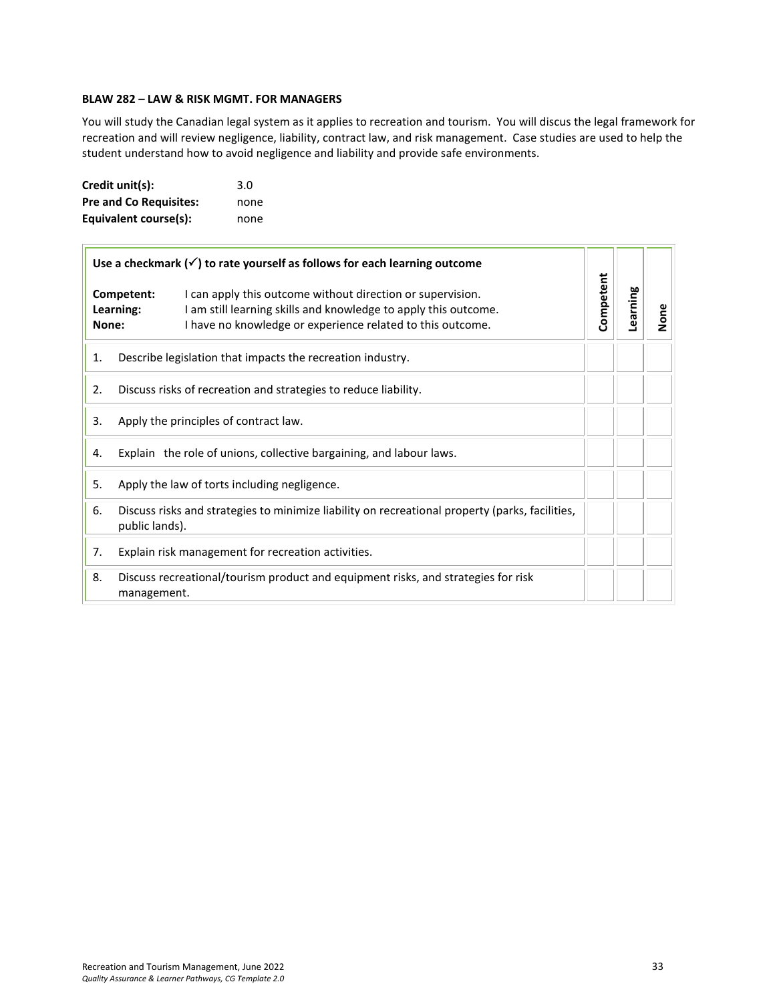## **BLAW 282 – LAW & RISK MGMT. FOR MANAGERS**

You will study the Canadian legal system as it applies to recreation and tourism. You will discus the legal framework for recreation and will review negligence, liability, contract law, and risk management. Case studies are used to help the student understand how to avoid negligence and liability and provide safe environments.

| Credit unit(s):               | 3.0  |
|-------------------------------|------|
| <b>Pre and Co Requisites:</b> | none |
| Equivalent course(s):         | none |

|    | Use a checkmark $(\checkmark)$ to rate yourself as follows for each learning outcome                                                                                                                                            |  |           |          |      |
|----|---------------------------------------------------------------------------------------------------------------------------------------------------------------------------------------------------------------------------------|--|-----------|----------|------|
|    | Competent:<br>I can apply this outcome without direction or supervision.<br>Learning:<br>I am still learning skills and knowledge to apply this outcome.<br>I have no knowledge or experience related to this outcome.<br>None: |  | Competent | Learning | None |
| 1. | Describe legislation that impacts the recreation industry.                                                                                                                                                                      |  |           |          |      |
| 2. | Discuss risks of recreation and strategies to reduce liability.                                                                                                                                                                 |  |           |          |      |
| 3. | Apply the principles of contract law.                                                                                                                                                                                           |  |           |          |      |
| 4. | Explain the role of unions, collective bargaining, and labour laws.                                                                                                                                                             |  |           |          |      |
| 5. | Apply the law of torts including negligence.                                                                                                                                                                                    |  |           |          |      |
| 6. | Discuss risks and strategies to minimize liability on recreational property (parks, facilities,<br>public lands).                                                                                                               |  |           |          |      |
| 7. | Explain risk management for recreation activities.                                                                                                                                                                              |  |           |          |      |
| 8. | Discuss recreational/tourism product and equipment risks, and strategies for risk<br>management.                                                                                                                                |  |           |          |      |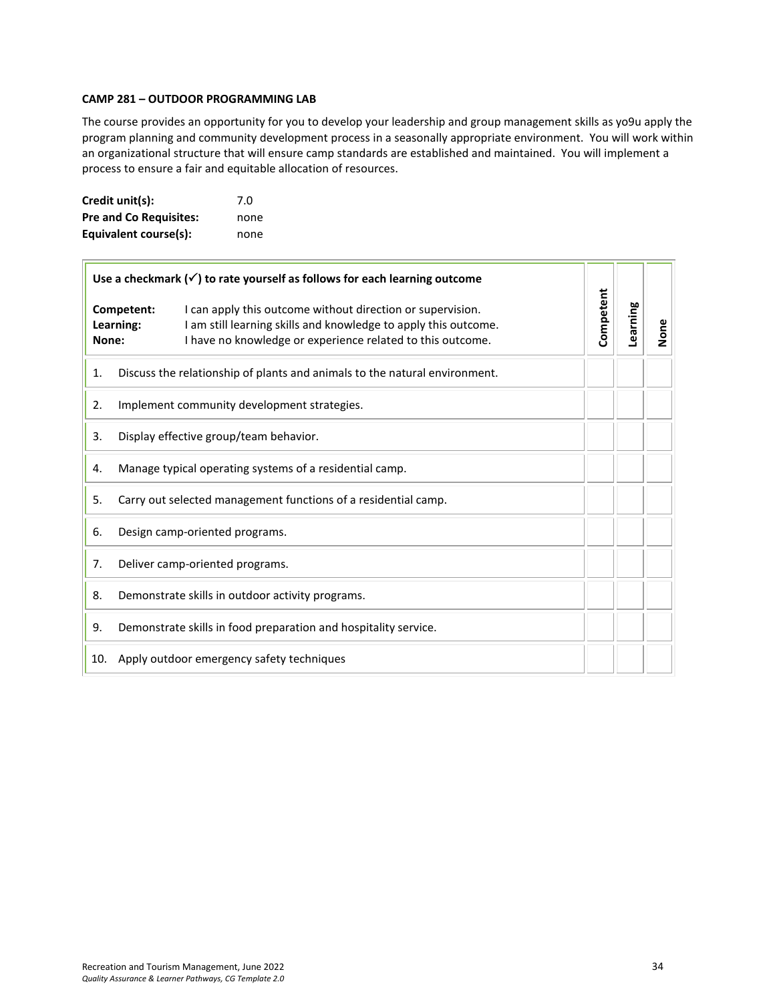#### **CAMP 281 – OUTDOOR PROGRAMMING LAB**

The course provides an opportunity for you to develop your leadership and group management skills as yo9u apply the program planning and community development process in a seasonally appropriate environment. You will work within an organizational structure that will ensure camp standards are established and maintained. You will implement a process to ensure a fair and equitable allocation of resources.

| Credit unit(s):               | 7.0  |
|-------------------------------|------|
| <b>Pre and Co Requisites:</b> | none |
| Equivalent course(s):         | none |

| Use a checkmark $(\checkmark)$ to rate yourself as follows for each learning outcome |                                                                |                                                                                                                                                                                             |           |          |      |
|--------------------------------------------------------------------------------------|----------------------------------------------------------------|---------------------------------------------------------------------------------------------------------------------------------------------------------------------------------------------|-----------|----------|------|
| Competent:<br>Learning:<br>None:                                                     |                                                                | I can apply this outcome without direction or supervision.<br>I am still learning skills and knowledge to apply this outcome.<br>I have no knowledge or experience related to this outcome. | Competent | Learning | None |
| 1.                                                                                   |                                                                | Discuss the relationship of plants and animals to the natural environment.                                                                                                                  |           |          |      |
| 2.                                                                                   |                                                                | Implement community development strategies.                                                                                                                                                 |           |          |      |
| 3.                                                                                   | Display effective group/team behavior.                         |                                                                                                                                                                                             |           |          |      |
| 4.                                                                                   | Manage typical operating systems of a residential camp.        |                                                                                                                                                                                             |           |          |      |
| 5.                                                                                   | Carry out selected management functions of a residential camp. |                                                                                                                                                                                             |           |          |      |
| 6.                                                                                   | Design camp-oriented programs.                                 |                                                                                                                                                                                             |           |          |      |
| 7.                                                                                   |                                                                | Deliver camp-oriented programs.                                                                                                                                                             |           |          |      |
| 8.                                                                                   |                                                                | Demonstrate skills in outdoor activity programs.                                                                                                                                            |           |          |      |
| 9.                                                                                   |                                                                | Demonstrate skills in food preparation and hospitality service.                                                                                                                             |           |          |      |
| 10.                                                                                  |                                                                | Apply outdoor emergency safety techniques                                                                                                                                                   |           |          |      |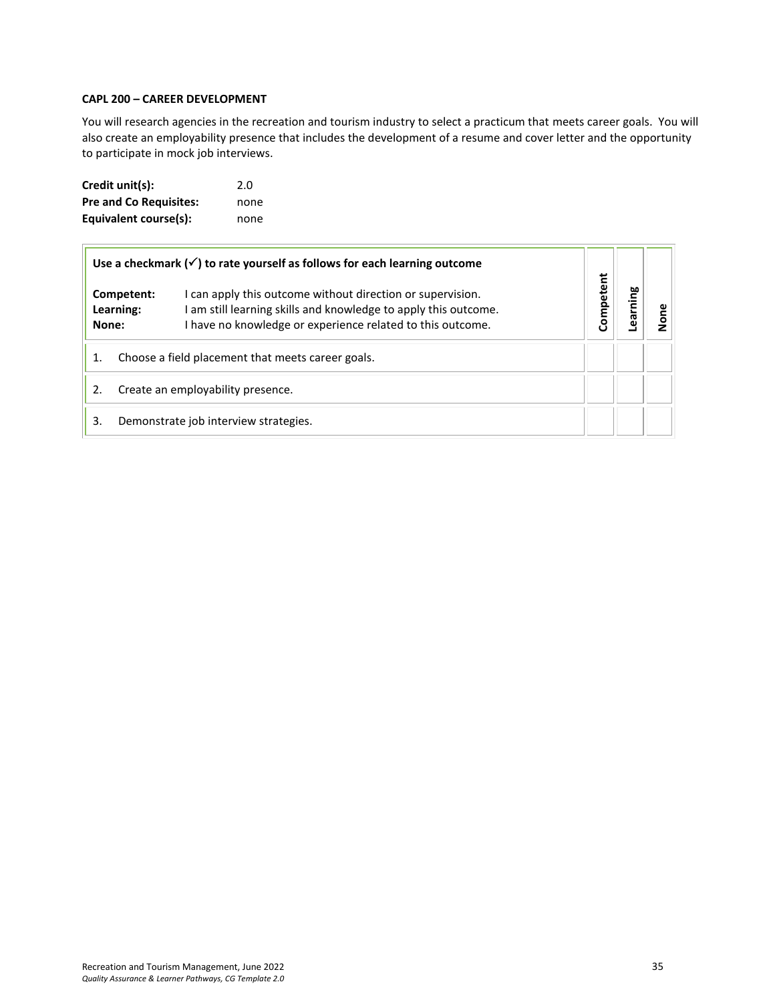#### **CAPL 200 – CAREER DEVELOPMENT**

You will research agencies in the recreation and tourism industry to select a practicum that meets career goals. You will also create an employability presence that includes the development of a resume and cover letter and the opportunity to participate in mock job interviews.

| Credit unit(s):               | 2.0  |
|-------------------------------|------|
| <b>Pre and Co Requisites:</b> | none |
| Equivalent course(s):         | none |

| Use a checkmark $(\checkmark)$ to rate yourself as follows for each learning outcome |                                                   |                                                                                                                                                                                             |           |         |  |
|--------------------------------------------------------------------------------------|---------------------------------------------------|---------------------------------------------------------------------------------------------------------------------------------------------------------------------------------------------|-----------|---------|--|
| None:                                                                                | Competent:<br>Learning:                           | I can apply this outcome without direction or supervision.<br>I am still learning skills and knowledge to apply this outcome.<br>I have no knowledge or experience related to this outcome. | Competent | earning |  |
| 1.                                                                                   | Choose a field placement that meets career goals. |                                                                                                                                                                                             |           |         |  |
| 2.                                                                                   | Create an employability presence.                 |                                                                                                                                                                                             |           |         |  |
| 3.                                                                                   |                                                   | Demonstrate job interview strategies.                                                                                                                                                       |           |         |  |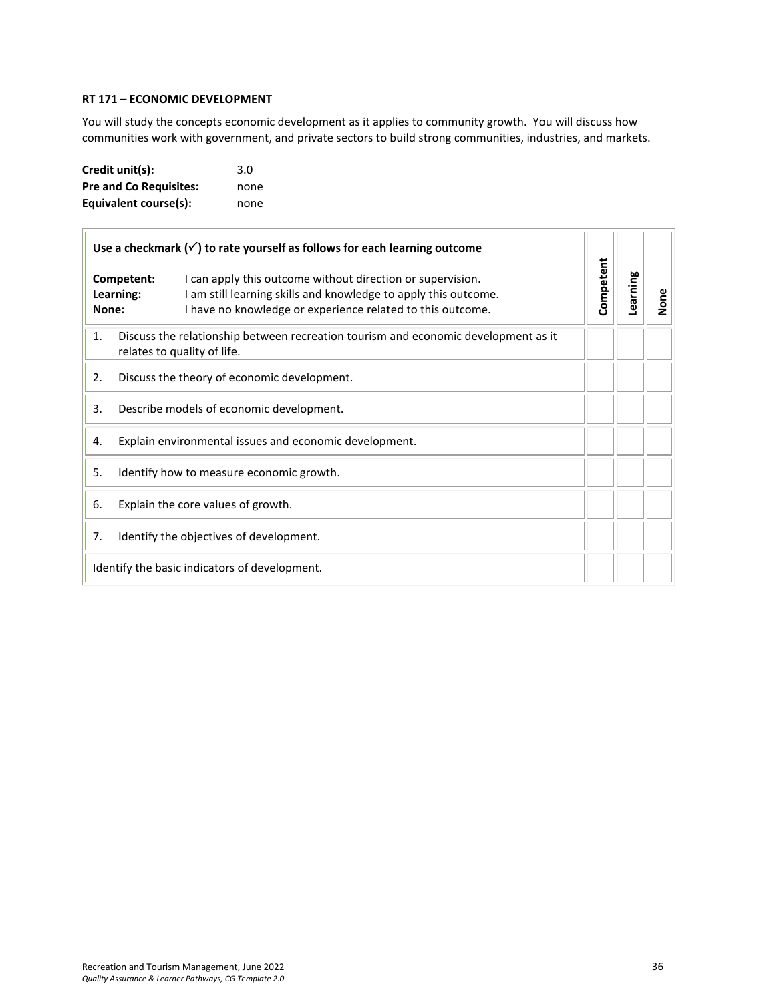#### **RT 171 – ECONOMIC DEVELOPMENT**

You will study the concepts economic development as it applies to community growth. You will discuss how communities work with government, and private sectors to build strong communities, industries, and markets.

| Credit unit(s):               | 3.0  |
|-------------------------------|------|
| <b>Pre and Co Requisites:</b> | none |
| Equivalent course(s):         | none |

| Use a checkmark $(\checkmark)$ to rate yourself as follows for each learning outcome                                    |                                                                                                                                                                                                                                 |           |          |      |
|-------------------------------------------------------------------------------------------------------------------------|---------------------------------------------------------------------------------------------------------------------------------------------------------------------------------------------------------------------------------|-----------|----------|------|
|                                                                                                                         | Competent:<br>I can apply this outcome without direction or supervision.<br>Learning:<br>I am still learning skills and knowledge to apply this outcome.<br>I have no knowledge or experience related to this outcome.<br>None: | Competent | Learning | None |
| 1.<br>Discuss the relationship between recreation tourism and economic development as it<br>relates to quality of life. |                                                                                                                                                                                                                                 |           |          |      |
| 2.                                                                                                                      | Discuss the theory of economic development.                                                                                                                                                                                     |           |          |      |
| 3.                                                                                                                      | Describe models of economic development.                                                                                                                                                                                        |           |          |      |
| Explain environmental issues and economic development.<br>4.                                                            |                                                                                                                                                                                                                                 |           |          |      |
| 5.<br>Identify how to measure economic growth.                                                                          |                                                                                                                                                                                                                                 |           |          |      |
| 6.                                                                                                                      | Explain the core values of growth.                                                                                                                                                                                              |           |          |      |
| 7.                                                                                                                      | Identify the objectives of development.                                                                                                                                                                                         |           |          |      |
| Identify the basic indicators of development.                                                                           |                                                                                                                                                                                                                                 |           |          |      |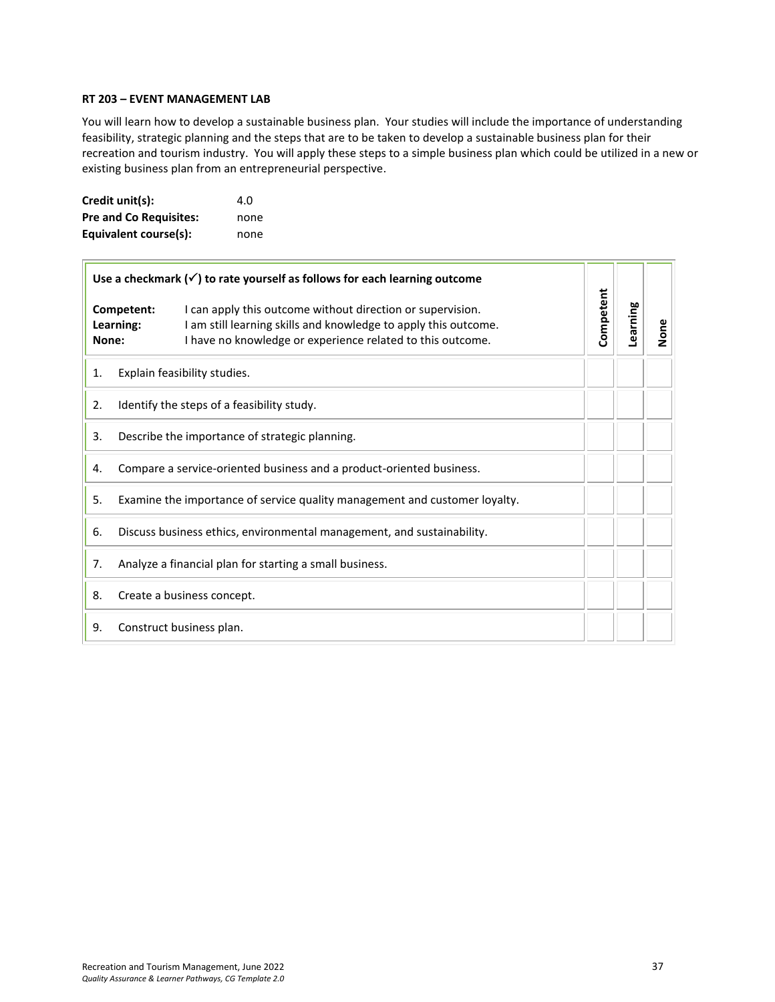#### **RT 203 – EVENT MANAGEMENT LAB**

You will learn how to develop a sustainable business plan. Your studies will include the importance of understanding feasibility, strategic planning and the steps that are to be taken to develop a sustainable business plan for their recreation and tourism industry. You will apply these steps to a simple business plan which could be utilized in a new or existing business plan from an entrepreneurial perspective.

| Credit unit(s):               | 4.O  |
|-------------------------------|------|
| <b>Pre and Co Requisites:</b> | none |
| Equivalent course(s):         | none |

| Use a checkmark $(\checkmark)$ to rate yourself as follows for each learning outcome |                                                                            |                                                                                                                                                                                             |           |          |      |
|--------------------------------------------------------------------------------------|----------------------------------------------------------------------------|---------------------------------------------------------------------------------------------------------------------------------------------------------------------------------------------|-----------|----------|------|
| None:                                                                                | Competent:<br>Learning:                                                    | I can apply this outcome without direction or supervision.<br>I am still learning skills and knowledge to apply this outcome.<br>I have no knowledge or experience related to this outcome. | Competent | Learning | None |
| 1.                                                                                   |                                                                            | Explain feasibility studies.                                                                                                                                                                |           |          |      |
| 2.                                                                                   |                                                                            | Identify the steps of a feasibility study.                                                                                                                                                  |           |          |      |
| 3.                                                                                   | Describe the importance of strategic planning.                             |                                                                                                                                                                                             |           |          |      |
| 4.                                                                                   |                                                                            | Compare a service-oriented business and a product-oriented business.                                                                                                                        |           |          |      |
| 5.                                                                                   | Examine the importance of service quality management and customer loyalty. |                                                                                                                                                                                             |           |          |      |
| 6.                                                                                   |                                                                            | Discuss business ethics, environmental management, and sustainability.                                                                                                                      |           |          |      |
| 7.                                                                                   |                                                                            | Analyze a financial plan for starting a small business.                                                                                                                                     |           |          |      |
| 8.                                                                                   |                                                                            | Create a business concept.                                                                                                                                                                  |           |          |      |
| 9.                                                                                   |                                                                            | Construct business plan.                                                                                                                                                                    |           |          |      |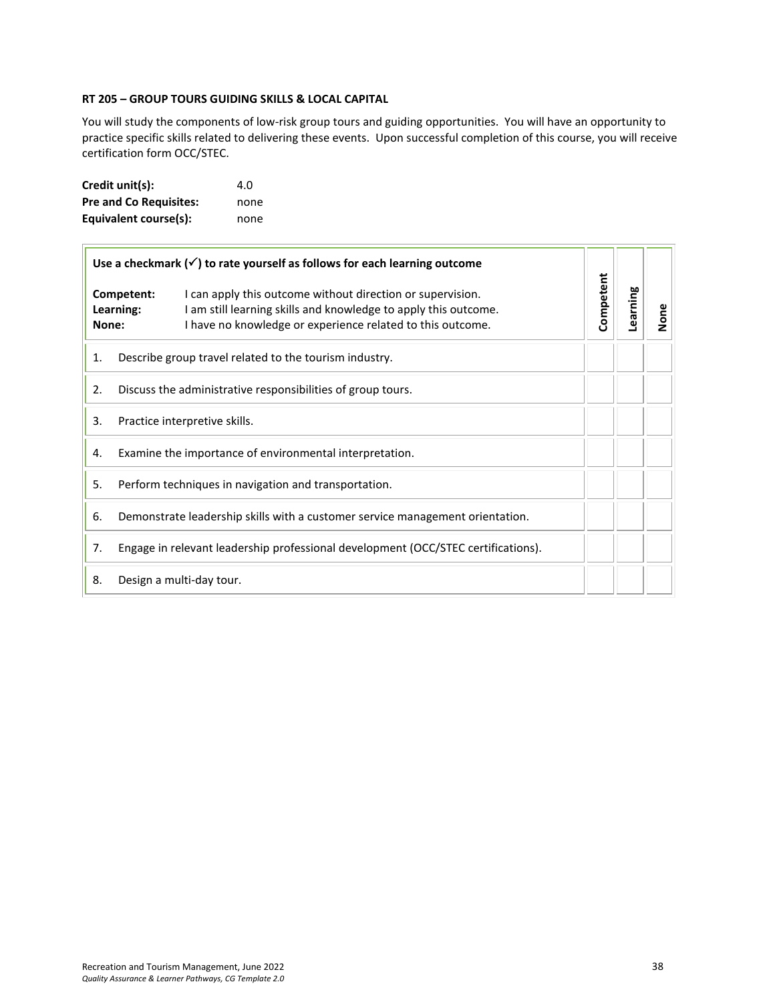#### **RT 205 – GROUP TOURS GUIDING SKILLS & LOCAL CAPITAL**

You will study the components of low-risk group tours and guiding opportunities. You will have an opportunity to practice specific skills related to delivering these events. Upon successful completion of this course, you will receive certification form OCC/STEC.

| Credit unit(s):               | 4.O  |
|-------------------------------|------|
| <b>Pre and Co Requisites:</b> | none |
| Equivalent course(s):         | none |

| Use a checkmark $(\checkmark)$ to rate yourself as follows for each learning outcome |                                                                                   |                                                                                                                                                                                             |           |          |      |
|--------------------------------------------------------------------------------------|-----------------------------------------------------------------------------------|---------------------------------------------------------------------------------------------------------------------------------------------------------------------------------------------|-----------|----------|------|
| Competent:<br>Learning:<br>None:                                                     |                                                                                   | I can apply this outcome without direction or supervision.<br>I am still learning skills and knowledge to apply this outcome.<br>I have no knowledge or experience related to this outcome. | Competent | Learning | None |
| 1.                                                                                   | Describe group travel related to the tourism industry.                            |                                                                                                                                                                                             |           |          |      |
| 2.                                                                                   | Discuss the administrative responsibilities of group tours.                       |                                                                                                                                                                                             |           |          |      |
| 3.                                                                                   | Practice interpretive skills.                                                     |                                                                                                                                                                                             |           |          |      |
| 4.                                                                                   | Examine the importance of environmental interpretation.                           |                                                                                                                                                                                             |           |          |      |
| 5.                                                                                   | Perform techniques in navigation and transportation.                              |                                                                                                                                                                                             |           |          |      |
| 6.                                                                                   | Demonstrate leadership skills with a customer service management orientation.     |                                                                                                                                                                                             |           |          |      |
| 7.                                                                                   | Engage in relevant leadership professional development (OCC/STEC certifications). |                                                                                                                                                                                             |           |          |      |
| 8.                                                                                   |                                                                                   | Design a multi-day tour.                                                                                                                                                                    |           |          |      |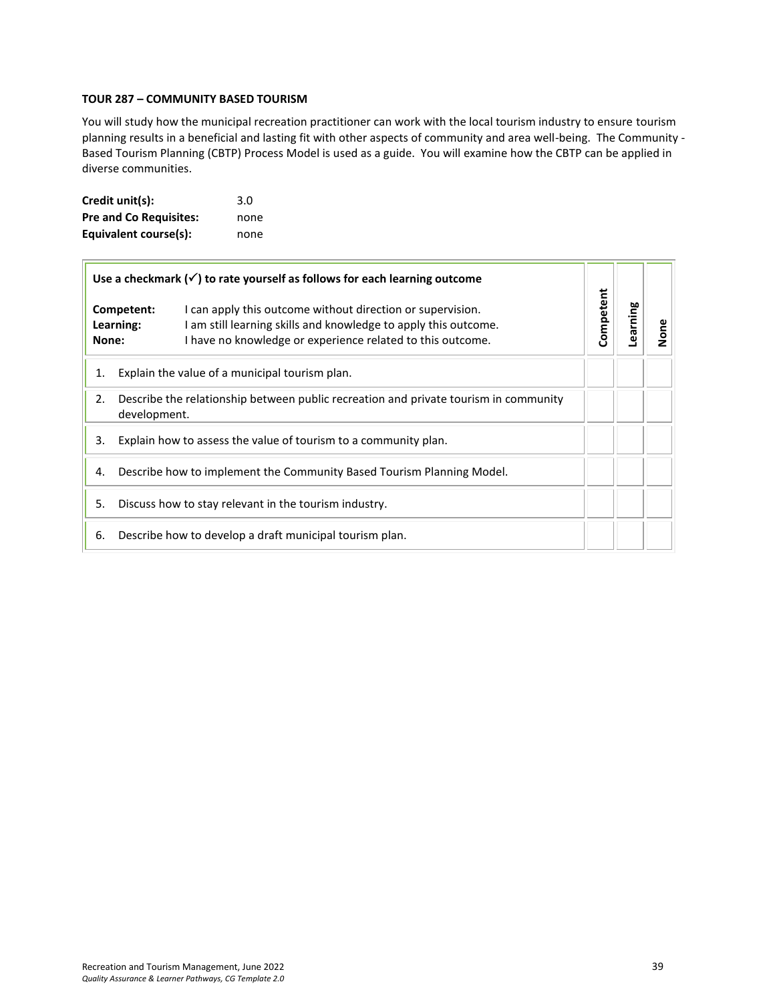#### <span id="page-38-0"></span>**TOUR 287 – COMMUNITY BASED TOURISM**

You will study how the municipal recreation practitioner can work with the local tourism industry to ensure tourism planning results in a beneficial and lasting fit with other aspects of community and area well-being. The Community - Based Tourism Planning (CBTP) Process Model is used as a guide. You will examine how the CBTP can be applied in diverse communities.

| Credit unit(s):               | 3.0  |
|-------------------------------|------|
| <b>Pre and Co Requisites:</b> | none |
| Equivalent course(s):         | none |

| Use a checkmark $(\checkmark)$ to rate yourself as follows for each learning outcome |                                                                                                                                                                                                                        |           |          |      |
|--------------------------------------------------------------------------------------|------------------------------------------------------------------------------------------------------------------------------------------------------------------------------------------------------------------------|-----------|----------|------|
| None:                                                                                | I can apply this outcome without direction or supervision.<br>Competent:<br>I am still learning skills and knowledge to apply this outcome.<br>Learning:<br>I have no knowledge or experience related to this outcome. | Competent | Learning | None |
| 1.                                                                                   | Explain the value of a municipal tourism plan.                                                                                                                                                                         |           |          |      |
| 2.                                                                                   | Describe the relationship between public recreation and private tourism in community<br>development.                                                                                                                   |           |          |      |
| Explain how to assess the value of tourism to a community plan.<br>3.                |                                                                                                                                                                                                                        |           |          |      |
| 4.                                                                                   | Describe how to implement the Community Based Tourism Planning Model.                                                                                                                                                  |           |          |      |
| 5.                                                                                   | Discuss how to stay relevant in the tourism industry.                                                                                                                                                                  |           |          |      |
| Describe how to develop a draft municipal tourism plan.<br>6.                        |                                                                                                                                                                                                                        |           |          |      |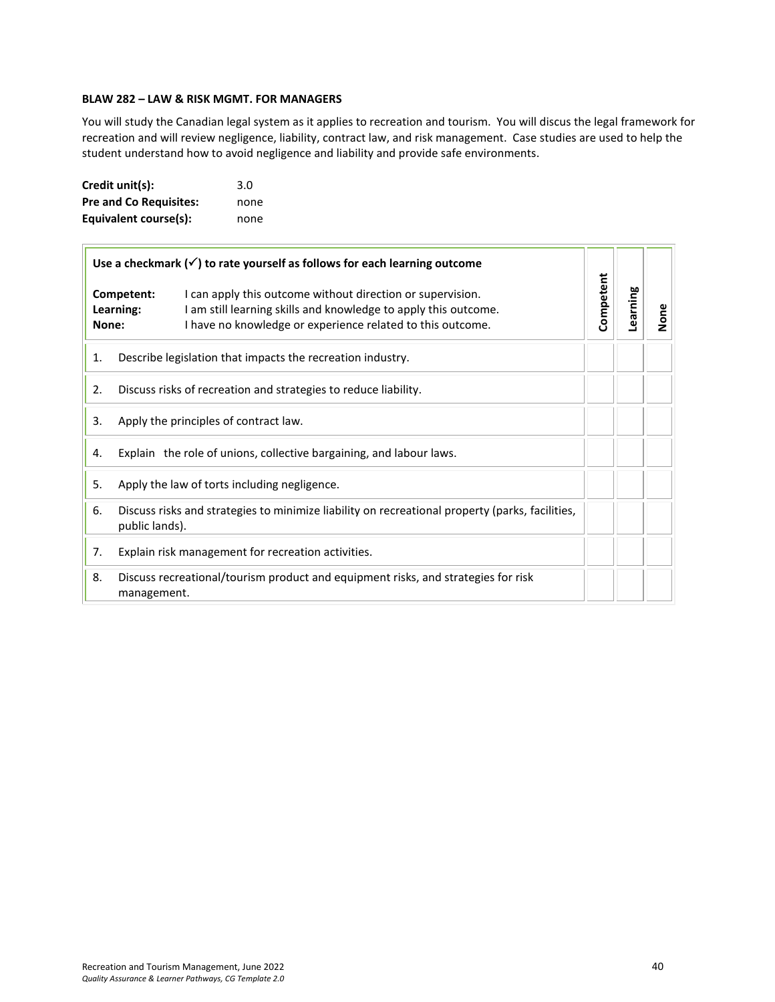## <span id="page-39-0"></span>**BLAW 282 – LAW & RISK MGMT. FOR MANAGERS**

You will study the Canadian legal system as it applies to recreation and tourism. You will discus the legal framework for recreation and will review negligence, liability, contract law, and risk management. Case studies are used to help the student understand how to avoid negligence and liability and provide safe environments.

| Credit unit(s):               | 3.0  |
|-------------------------------|------|
| <b>Pre and Co Requisites:</b> | none |
| Equivalent course(s):         | none |

| Use a checkmark $(\checkmark)$ to rate yourself as follows for each learning outcome |                                                                                                                                                                                                                        |  |           |          |      |
|--------------------------------------------------------------------------------------|------------------------------------------------------------------------------------------------------------------------------------------------------------------------------------------------------------------------|--|-----------|----------|------|
| None:                                                                                | Competent:<br>I can apply this outcome without direction or supervision.<br>I am still learning skills and knowledge to apply this outcome.<br>Learning:<br>I have no knowledge or experience related to this outcome. |  | Competent | Learning | None |
| 1.                                                                                   | Describe legislation that impacts the recreation industry.                                                                                                                                                             |  |           |          |      |
| 2.                                                                                   | Discuss risks of recreation and strategies to reduce liability.                                                                                                                                                        |  |           |          |      |
| 3.                                                                                   | Apply the principles of contract law.                                                                                                                                                                                  |  |           |          |      |
| Explain the role of unions, collective bargaining, and labour laws.<br>4.            |                                                                                                                                                                                                                        |  |           |          |      |
| 5.                                                                                   | Apply the law of torts including negligence.                                                                                                                                                                           |  |           |          |      |
| 6.                                                                                   | Discuss risks and strategies to minimize liability on recreational property (parks, facilities,<br>public lands).                                                                                                      |  |           |          |      |
| 7.                                                                                   | Explain risk management for recreation activities.                                                                                                                                                                     |  |           |          |      |
| 8.                                                                                   | Discuss recreational/tourism product and equipment risks, and strategies for risk<br>management.                                                                                                                       |  |           |          |      |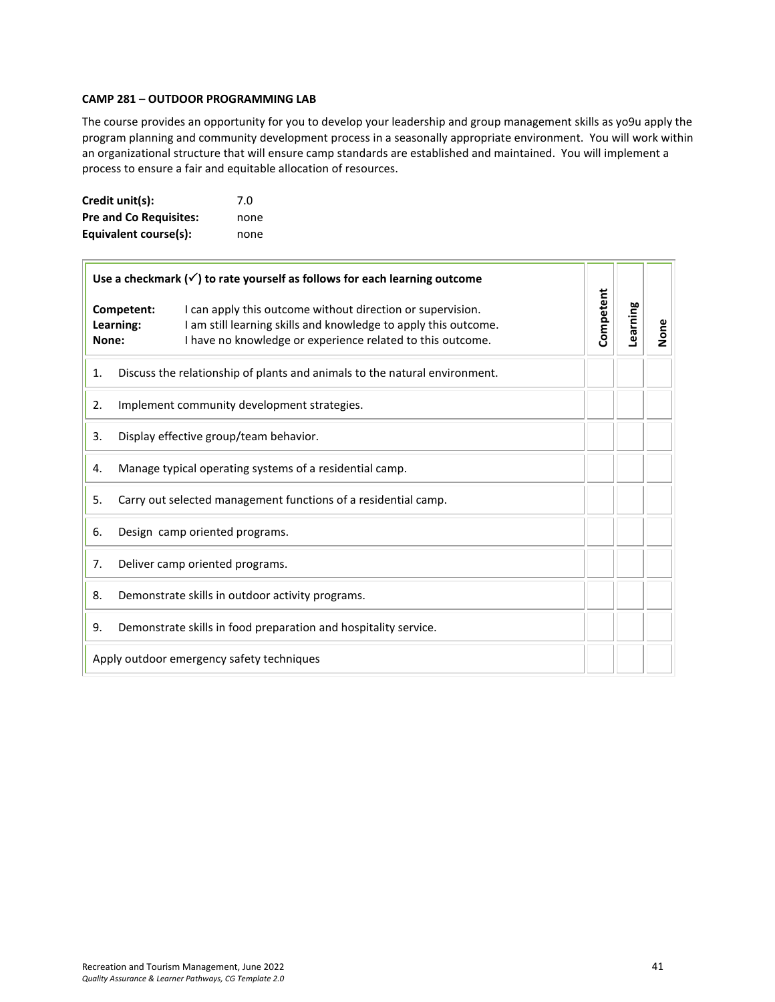#### <span id="page-40-0"></span>**CAMP 281 – OUTDOOR PROGRAMMING LAB**

The course provides an opportunity for you to develop your leadership and group management skills as yo9u apply the program planning and community development process in a seasonally appropriate environment. You will work within an organizational structure that will ensure camp standards are established and maintained. You will implement a process to ensure a fair and equitable allocation of resources.

| Credit unit(s):               | 7.0  |
|-------------------------------|------|
| <b>Pre and Co Requisites:</b> | none |
| Equivalent course(s):         | none |

| Use a checkmark $(\checkmark)$ to rate yourself as follows for each learning outcome |  |                                                                                                                                                                                             |           |          |      |
|--------------------------------------------------------------------------------------|--|---------------------------------------------------------------------------------------------------------------------------------------------------------------------------------------------|-----------|----------|------|
| Competent:<br>Learning:<br>None:                                                     |  | I can apply this outcome without direction or supervision.<br>I am still learning skills and knowledge to apply this outcome.<br>I have no knowledge or experience related to this outcome. | Competent | Learning | None |
| 1.                                                                                   |  | Discuss the relationship of plants and animals to the natural environment.                                                                                                                  |           |          |      |
| 2.                                                                                   |  | Implement community development strategies.                                                                                                                                                 |           |          |      |
| 3.                                                                                   |  | Display effective group/team behavior.                                                                                                                                                      |           |          |      |
| 4.                                                                                   |  | Manage typical operating systems of a residential camp.                                                                                                                                     |           |          |      |
| 5.                                                                                   |  | Carry out selected management functions of a residential camp.                                                                                                                              |           |          |      |
| 6.                                                                                   |  | Design camp oriented programs.                                                                                                                                                              |           |          |      |
| 7.                                                                                   |  | Deliver camp oriented programs.                                                                                                                                                             |           |          |      |
| 8.                                                                                   |  | Demonstrate skills in outdoor activity programs.                                                                                                                                            |           |          |      |
| 9.                                                                                   |  | Demonstrate skills in food preparation and hospitality service.                                                                                                                             |           |          |      |
| Apply outdoor emergency safety techniques                                            |  |                                                                                                                                                                                             |           |          |      |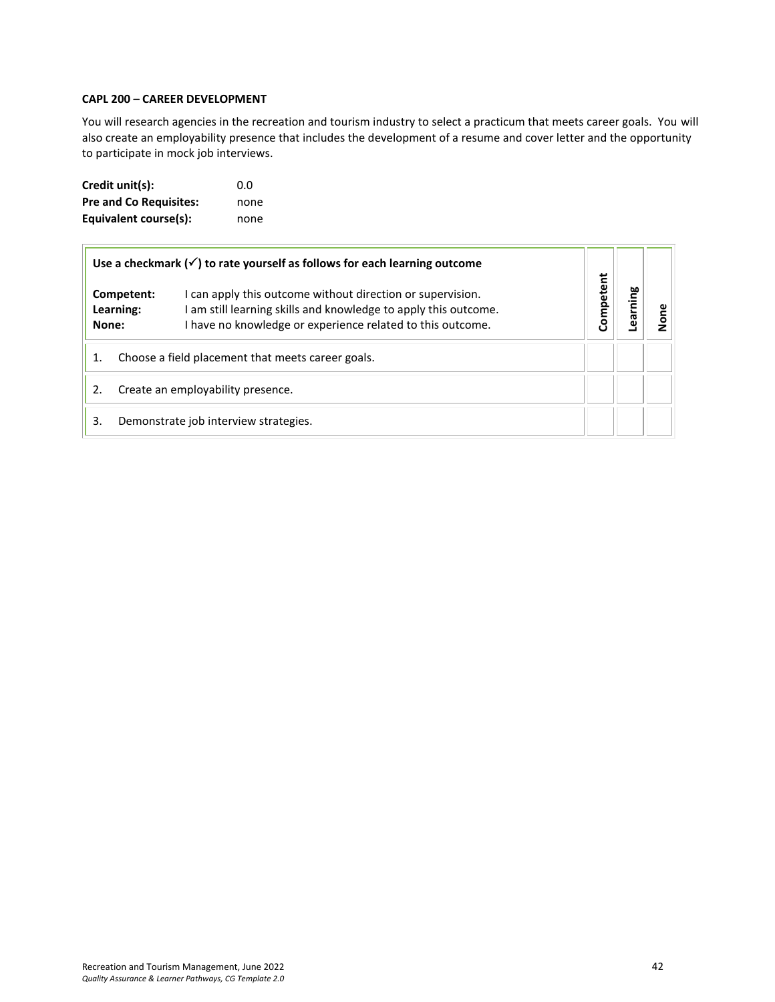#### <span id="page-41-0"></span>**CAPL 200 – CAREER DEVELOPMENT**

You will research agencies in the recreation and tourism industry to select a practicum that meets career goals. You will also create an employability presence that includes the development of a resume and cover letter and the opportunity to participate in mock job interviews.

| Credit unit(s):               | 0.0  |
|-------------------------------|------|
| <b>Pre and Co Requisites:</b> | none |
| Equivalent course(s):         | none |

| Use a checkmark $(\checkmark)$ to rate yourself as follows for each learning outcome |                                   |                                                                                                                                                                                             |           |         |  |
|--------------------------------------------------------------------------------------|-----------------------------------|---------------------------------------------------------------------------------------------------------------------------------------------------------------------------------------------|-----------|---------|--|
| None:                                                                                | Competent:<br>Learning:           | I can apply this outcome without direction or supervision.<br>I am still learning skills and knowledge to apply this outcome.<br>I have no knowledge or experience related to this outcome. | Competent | earning |  |
| Choose a field placement that meets career goals.<br>1.                              |                                   |                                                                                                                                                                                             |           |         |  |
| 2.                                                                                   | Create an employability presence. |                                                                                                                                                                                             |           |         |  |
| 3.                                                                                   |                                   | Demonstrate job interview strategies.                                                                                                                                                       |           |         |  |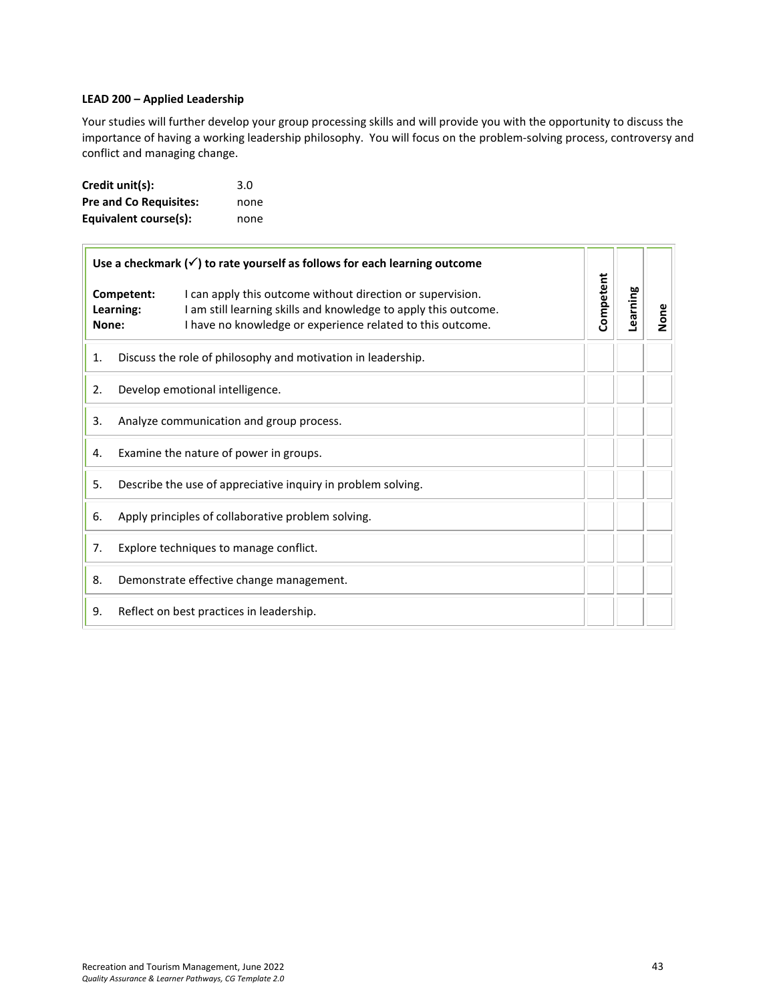#### <span id="page-42-0"></span>**LEAD 200 – Applied Leadership**

Your studies will further develop your group processing skills and will provide you with the opportunity to discuss the importance of having a working leadership philosophy. You will focus on the problem-solving process, controversy and conflict and managing change.

| Credit unit(s):               | 3.0  |
|-------------------------------|------|
| <b>Pre and Co Requisites:</b> | none |
| Equivalent course(s):         | none |

| Use a checkmark $(\checkmark)$ to rate yourself as follows for each learning outcome |                         |                                                                                                                                                                                             |           |          |      |
|--------------------------------------------------------------------------------------|-------------------------|---------------------------------------------------------------------------------------------------------------------------------------------------------------------------------------------|-----------|----------|------|
| None:                                                                                | Competent:<br>Learning: | I can apply this outcome without direction or supervision.<br>I am still learning skills and knowledge to apply this outcome.<br>I have no knowledge or experience related to this outcome. | Competent | Learning | None |
| 1.                                                                                   |                         | Discuss the role of philosophy and motivation in leadership.                                                                                                                                |           |          |      |
| 2.                                                                                   |                         | Develop emotional intelligence.                                                                                                                                                             |           |          |      |
| 3.                                                                                   |                         | Analyze communication and group process.                                                                                                                                                    |           |          |      |
| 4.                                                                                   |                         | Examine the nature of power in groups.                                                                                                                                                      |           |          |      |
| 5.                                                                                   |                         | Describe the use of appreciative inquiry in problem solving.                                                                                                                                |           |          |      |
| 6.                                                                                   |                         | Apply principles of collaborative problem solving.                                                                                                                                          |           |          |      |
| 7.                                                                                   |                         | Explore techniques to manage conflict.                                                                                                                                                      |           |          |      |
| 8.                                                                                   |                         | Demonstrate effective change management.                                                                                                                                                    |           |          |      |
| 9.                                                                                   |                         | Reflect on best practices in leadership.                                                                                                                                                    |           |          |      |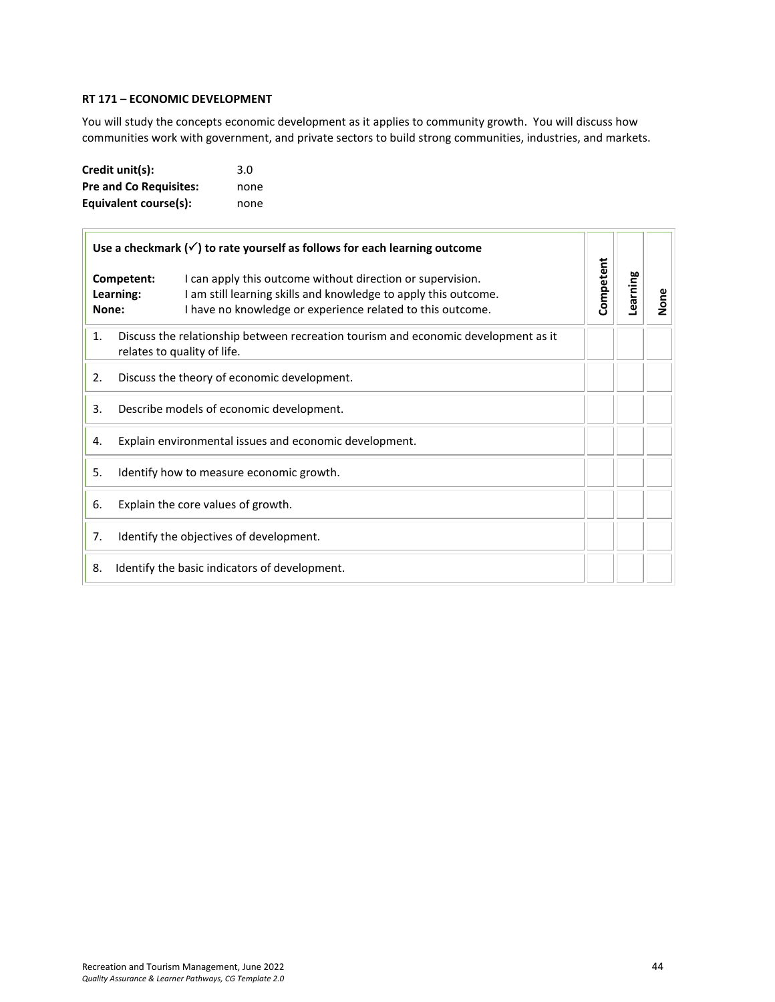#### <span id="page-43-0"></span>**RT 171 – ECONOMIC DEVELOPMENT**

You will study the concepts economic development as it applies to community growth. You will discuss how communities work with government, and private sectors to build strong communities, industries, and markets.

| Credit unit(s):               | 3.0  |
|-------------------------------|------|
| <b>Pre and Co Requisites:</b> | none |
| Equivalent course(s):         | none |

| Use a checkmark $(\checkmark)$ to rate yourself as follows for each learning outcome                                    |                                                                                                                                                                                                                        |           |          |      |
|-------------------------------------------------------------------------------------------------------------------------|------------------------------------------------------------------------------------------------------------------------------------------------------------------------------------------------------------------------|-----------|----------|------|
| None:                                                                                                                   | Competent:<br>I can apply this outcome without direction or supervision.<br>I am still learning skills and knowledge to apply this outcome.<br>Learning:<br>I have no knowledge or experience related to this outcome. | Competent | Learning | None |
| Discuss the relationship between recreation tourism and economic development as it<br>1.<br>relates to quality of life. |                                                                                                                                                                                                                        |           |          |      |
| 2.<br>Discuss the theory of economic development.                                                                       |                                                                                                                                                                                                                        |           |          |      |
| 3.                                                                                                                      | Describe models of economic development.                                                                                                                                                                               |           |          |      |
| Explain environmental issues and economic development.<br>4.                                                            |                                                                                                                                                                                                                        |           |          |      |
| 5.<br>Identify how to measure economic growth.                                                                          |                                                                                                                                                                                                                        |           |          |      |
| 6.                                                                                                                      | Explain the core values of growth.                                                                                                                                                                                     |           |          |      |
| 7.                                                                                                                      | Identify the objectives of development.                                                                                                                                                                                |           |          |      |
| 8.                                                                                                                      | Identify the basic indicators of development.                                                                                                                                                                          |           |          |      |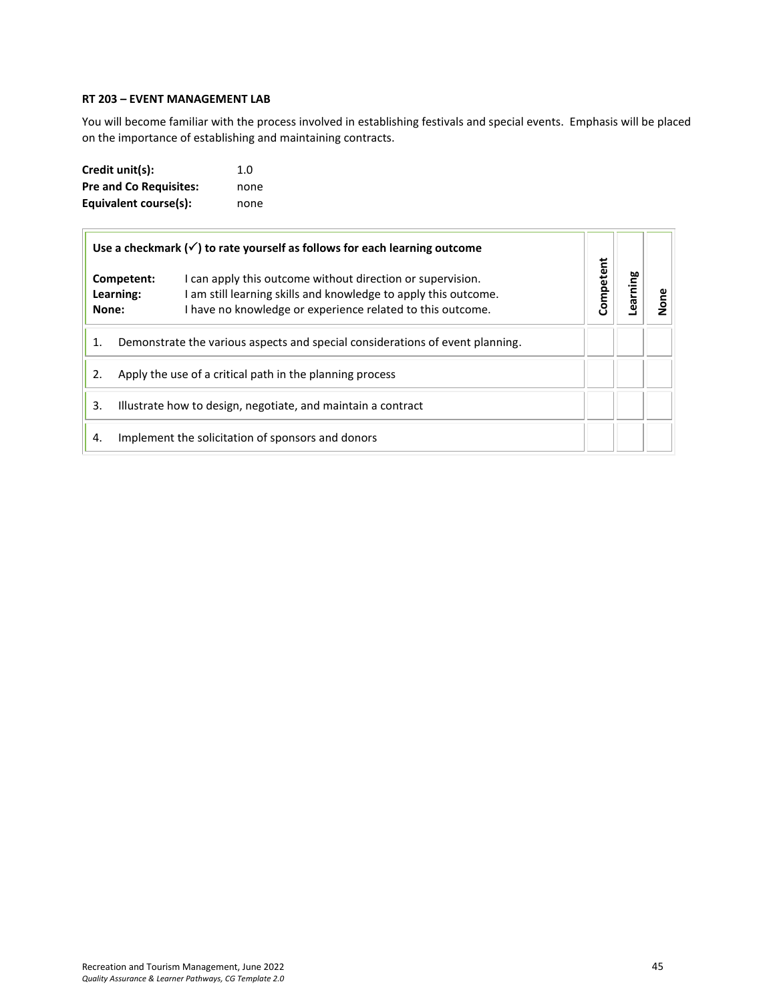## <span id="page-44-0"></span>**RT 203 – EVENT MANAGEMENT LAB**

You will become familiar with the process involved in establishing festivals and special events. Emphasis will be placed on the importance of establishing and maintaining contracts.

| Credit unit(s):               | 1.0  |
|-------------------------------|------|
| <b>Pre and Co Requisites:</b> | none |
| Equivalent course(s):         | none |

| Use a checkmark $(\checkmark)$ to rate yourself as follows for each learning outcome |                                                                               |                                                                                                                                                                                             |           |         |  |
|--------------------------------------------------------------------------------------|-------------------------------------------------------------------------------|---------------------------------------------------------------------------------------------------------------------------------------------------------------------------------------------|-----------|---------|--|
| Competent:<br>Learning:<br>None:                                                     |                                                                               | I can apply this outcome without direction or supervision.<br>I am still learning skills and knowledge to apply this outcome.<br>I have no knowledge or experience related to this outcome. | Competent | earning |  |
| 1.                                                                                   | Demonstrate the various aspects and special considerations of event planning. |                                                                                                                                                                                             |           |         |  |
| 2.<br>Apply the use of a critical path in the planning process                       |                                                                               |                                                                                                                                                                                             |           |         |  |
| Illustrate how to design, negotiate, and maintain a contract<br>3.                   |                                                                               |                                                                                                                                                                                             |           |         |  |
| 4.                                                                                   |                                                                               | Implement the solicitation of sponsors and donors                                                                                                                                           |           |         |  |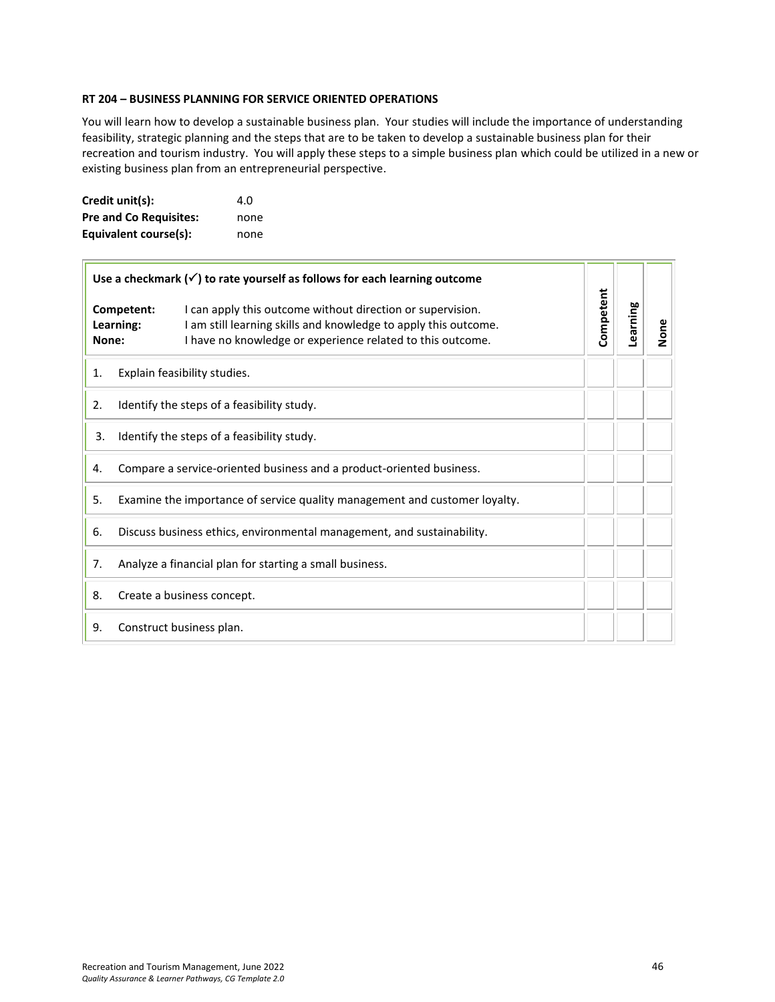#### <span id="page-45-0"></span>**RT 204 – BUSINESS PLANNING FOR SERVICE ORIENTED OPERATIONS**

You will learn how to develop a sustainable business plan. Your studies will include the importance of understanding feasibility, strategic planning and the steps that are to be taken to develop a sustainable business plan for their recreation and tourism industry. You will apply these steps to a simple business plan which could be utilized in a new or existing business plan from an entrepreneurial perspective.

| Credit unit(s):               | 4.O  |
|-------------------------------|------|
| <b>Pre and Co Requisites:</b> | none |
| Equivalent course(s):         | none |

| Use a checkmark $(\checkmark)$ to rate yourself as follows for each learning outcome |                                                                        |                                                                                                                                                                                             |           |          |      |
|--------------------------------------------------------------------------------------|------------------------------------------------------------------------|---------------------------------------------------------------------------------------------------------------------------------------------------------------------------------------------|-----------|----------|------|
| Competent:<br>Learning:<br>None:                                                     |                                                                        | I can apply this outcome without direction or supervision.<br>I am still learning skills and knowledge to apply this outcome.<br>I have no knowledge or experience related to this outcome. | Competent | Learning | None |
| 1.                                                                                   |                                                                        | Explain feasibility studies.                                                                                                                                                                |           |          |      |
| Identify the steps of a feasibility study.<br>2.                                     |                                                                        |                                                                                                                                                                                             |           |          |      |
| 3.                                                                                   | Identify the steps of a feasibility study.                             |                                                                                                                                                                                             |           |          |      |
| 4.                                                                                   |                                                                        | Compare a service-oriented business and a product-oriented business.                                                                                                                        |           |          |      |
| 5.<br>Examine the importance of service quality management and customer loyalty.     |                                                                        |                                                                                                                                                                                             |           |          |      |
| 6.                                                                                   | Discuss business ethics, environmental management, and sustainability. |                                                                                                                                                                                             |           |          |      |
| 7.                                                                                   | Analyze a financial plan for starting a small business.                |                                                                                                                                                                                             |           |          |      |
| 8.                                                                                   |                                                                        | Create a business concept.                                                                                                                                                                  |           |          |      |
| 9.                                                                                   |                                                                        | Construct business plan.                                                                                                                                                                    |           |          |      |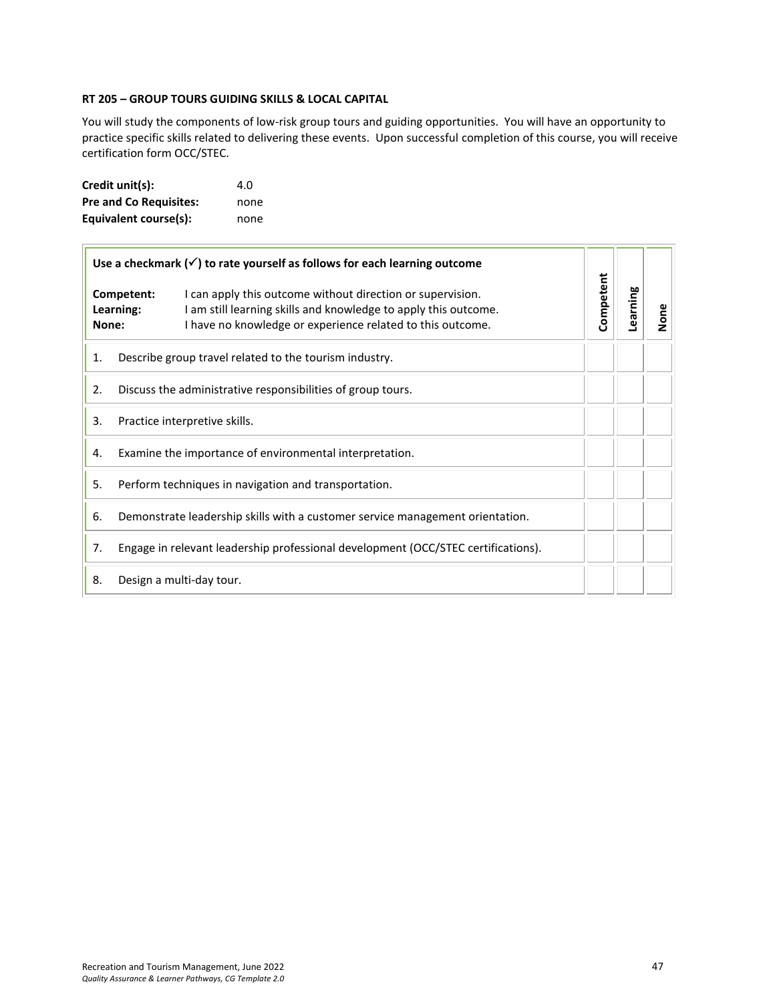#### <span id="page-46-0"></span>**RT 205 – GROUP TOURS GUIDING SKILLS & LOCAL CAPITAL**

You will study the components of low-risk group tours and guiding opportunities. You will have an opportunity to practice specific skills related to delivering these events. Upon successful completion of this course, you will receive certification form OCC/STEC.

| Credit unit(s):               | 4.O  |
|-------------------------------|------|
| <b>Pre and Co Requisites:</b> | none |
| Equivalent course(s):         | none |

| Use a checkmark $(\checkmark)$ to rate yourself as follows for each learning outcome |                                                                               |                                                                                                                                                                                             |           |          |      |
|--------------------------------------------------------------------------------------|-------------------------------------------------------------------------------|---------------------------------------------------------------------------------------------------------------------------------------------------------------------------------------------|-----------|----------|------|
| Competent:<br>Learning:<br>None:                                                     |                                                                               | I can apply this outcome without direction or supervision.<br>I am still learning skills and knowledge to apply this outcome.<br>I have no knowledge or experience related to this outcome. | Competent | Learning | None |
| Describe group travel related to the tourism industry.<br>1.                         |                                                                               |                                                                                                                                                                                             |           |          |      |
| 2.                                                                                   | Discuss the administrative responsibilities of group tours.                   |                                                                                                                                                                                             |           |          |      |
| 3.                                                                                   | Practice interpretive skills.                                                 |                                                                                                                                                                                             |           |          |      |
| 4.                                                                                   | Examine the importance of environmental interpretation.                       |                                                                                                                                                                                             |           |          |      |
| 5.                                                                                   | Perform techniques in navigation and transportation.                          |                                                                                                                                                                                             |           |          |      |
| 6.                                                                                   | Demonstrate leadership skills with a customer service management orientation. |                                                                                                                                                                                             |           |          |      |
| 7.                                                                                   |                                                                               | Engage in relevant leadership professional development (OCC/STEC certifications).                                                                                                           |           |          |      |
| 8.                                                                                   |                                                                               | Design a multi-day tour.                                                                                                                                                                    |           |          |      |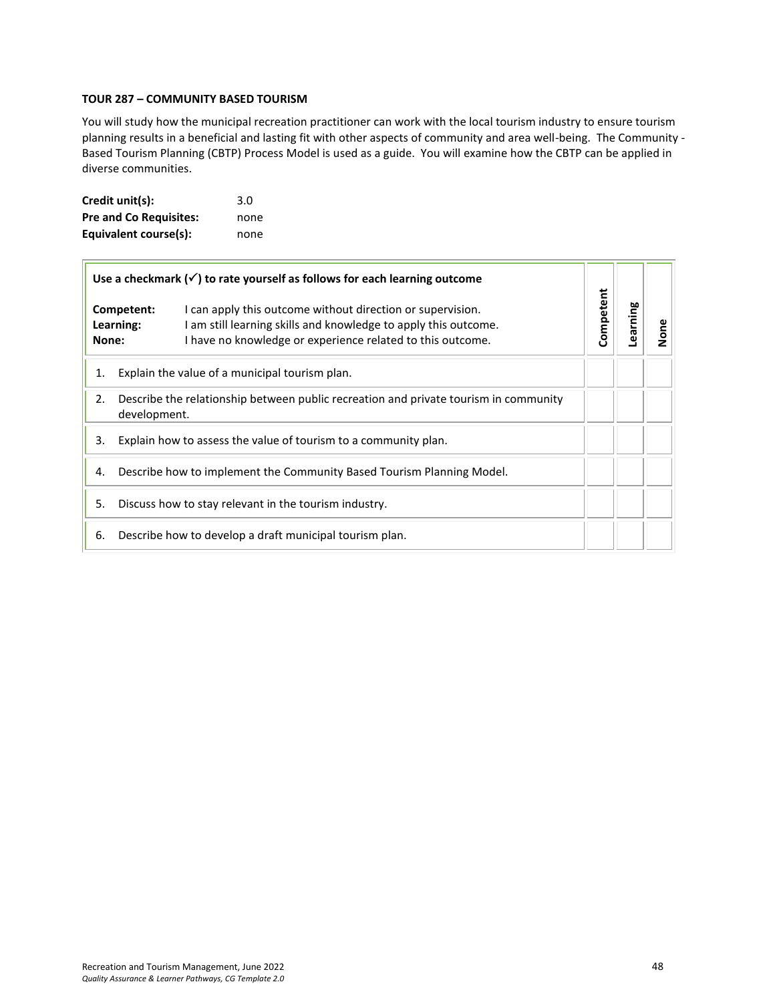#### **TOUR 287 – COMMUNITY BASED TOURISM**

You will study how the municipal recreation practitioner can work with the local tourism industry to ensure tourism planning results in a beneficial and lasting fit with other aspects of community and area well-being. The Community - Based Tourism Planning (CBTP) Process Model is used as a guide. You will examine how the CBTP can be applied in diverse communities.

| Credit unit(s):               | 3.0  |
|-------------------------------|------|
| <b>Pre and Co Requisites:</b> | none |
| Equivalent course(s):         | none |

| Use a checkmark $(\checkmark)$ to rate yourself as follows for each learning outcome |                                                                                                                                                                                                                        |           |          |      |
|--------------------------------------------------------------------------------------|------------------------------------------------------------------------------------------------------------------------------------------------------------------------------------------------------------------------|-----------|----------|------|
| None:                                                                                | I can apply this outcome without direction or supervision.<br>Competent:<br>I am still learning skills and knowledge to apply this outcome.<br>Learning:<br>I have no knowledge or experience related to this outcome. | Competent | Learning | None |
| Explain the value of a municipal tourism plan.<br>1.                                 |                                                                                                                                                                                                                        |           |          |      |
| 2.                                                                                   | Describe the relationship between public recreation and private tourism in community<br>development.                                                                                                                   |           |          |      |
| Explain how to assess the value of tourism to a community plan.<br>3.                |                                                                                                                                                                                                                        |           |          |      |
| Describe how to implement the Community Based Tourism Planning Model.<br>4.          |                                                                                                                                                                                                                        |           |          |      |
| 5.<br>Discuss how to stay relevant in the tourism industry.                          |                                                                                                                                                                                                                        |           |          |      |
| 6.                                                                                   | Describe how to develop a draft municipal tourism plan.                                                                                                                                                                |           |          |      |